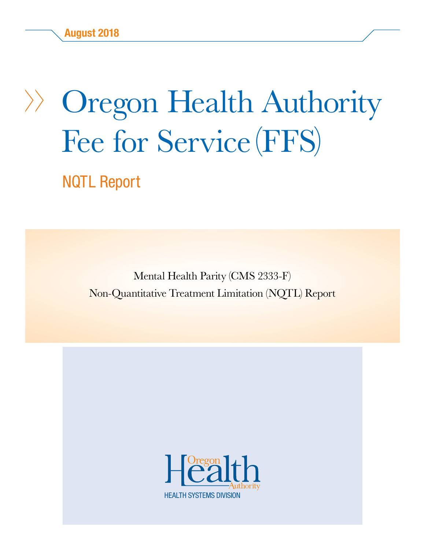# Oregon Health Authority Fee for Service (FFS)

NQTL Report

Mental Health Parity (CMS 2333-F) Non-Quantitative Treatment Limitation (NQTL) Report

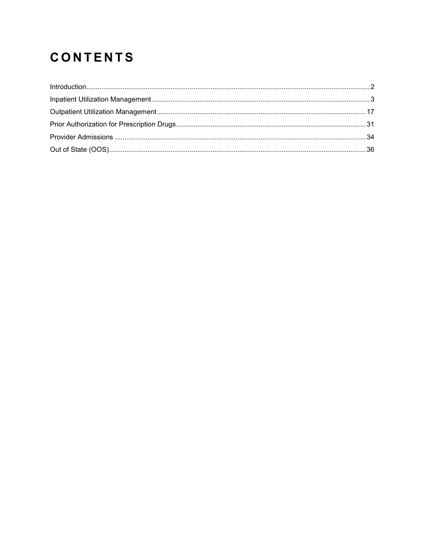# **CONTENTS**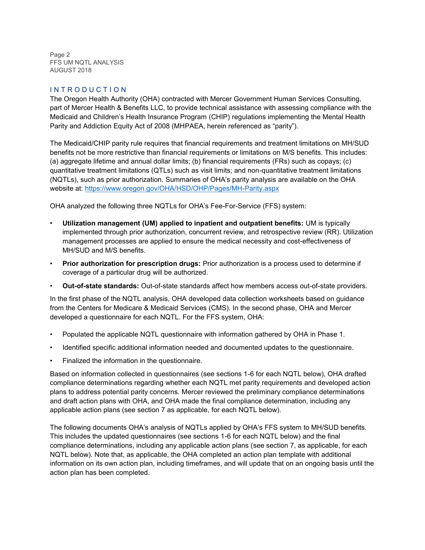Page 2 FFS UM NQTL ANALYSIS AUGUST 2018

#### I N T R O D U C T I O N

The Oregon Health Authority (OHA) contracted with Mercer Government Human Services Consulting, part of Mercer Health & Benefits LLC, to provide technical assistance with assessing compliance with the Medicaid and Children's Health Insurance Program (CHIP) regulations implementing the Mental Health Parity and Addiction Equity Act of 2008 (MHPAEA, herein referenced as "parity").

The Medicaid/CHIP parity rule requires that financial requirements and treatment limitations on MH/SUD benefits not be more restrictive than financial requirements or limitations on M/S benefits. This includes: (a) aggregate lifetime and annual dollar limits; (b) financial requirements (FRs) such as copays; (c) quantitative treatment limitations (QTLs) such as visit limits; and non-quantitative treatment limitations (NQTLs), such as prior authorization. Summaries of OHA's parity analysis are available on the OHA website at:<https://www.oregon.gov/OHA/HSD/OHP/Pages/MH-Parity.aspx>

OHA analyzed the following three NQTLs for OHA's Fee-For-Service (FFS) system:

- **Utilization management (UM) applied to inpatient and outpatient benefits:** UM is typically implemented through prior authorization, concurrent review, and retrospective review (RR). Utilization management processes are applied to ensure the medical necessity and cost-effectiveness of MH/SUD and M/S benefits.
- **Prior authorization for prescription drugs:** Prior authorization is a process used to determine if coverage of a particular drug will be authorized.
- **Out-of-state standards:** Out-of-state standards affect how members access out-of-state providers.

In the first phase of the NQTL analysis, OHA developed data collection worksheets based on guidance from the Centers for Medicare & Medicaid Services (CMS). In the second phase, OHA and Mercer developed a questionnaire for each NQTL. For the FFS system, OHA:

- Populated the applicable NQTL questionnaire with information gathered by OHA in Phase 1.
- Identified specific additional information needed and documented updates to the questionnaire.
- Finalized the information in the questionnaire.

Based on information collected in questionnaires (see sections 1-6 for each NQTL below), OHA drafted compliance determinations regarding whether each NQTL met parity requirements and developed action plans to address potential parity concerns. Mercer reviewed the preliminary compliance determinations and draft action plans with OHA, and OHA made the final compliance determination, including any applicable action plans (see section 7 as applicable, for each NQTL below).

The following documents OHA's analysis of NQTLs applied by OHA's FFS system to MH/SUD benefits. This includes the updated questionnaires (see sections 1-6 for each NQTL below) and the final compliance determinations, including any applicable action plans (see section 7, as applicable, for each NQTL below). Note that, as applicable, the OHA completed an action plan template with additional information on its own action plan, including timeframes, and will update that on an ongoing basis until the action plan has been completed.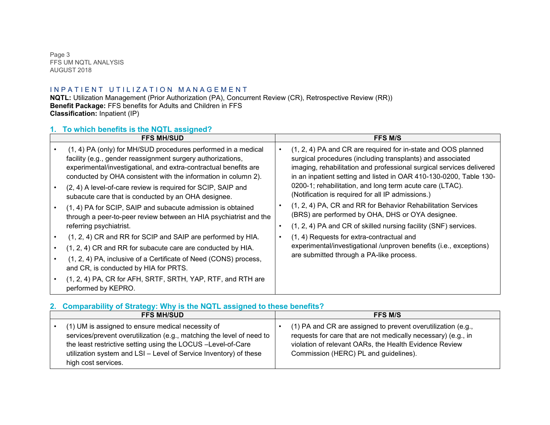Page 3 FFS UM NQTL ANALYSIS AUGUST 2018

# IN PATIENT UTILIZATION MANAGEMENT

**NQTL:** Utilization Management (Prior Authorization (PA), Concurrent Review (CR), Retrospective Review (RR)) **Benefit Package:** FFS benefits for Adults and Children in FFS **Classification:** Inpatient (IP)

#### **1. To which benefits is the NQTL assigned?**

| <b>FFS MH/SUD</b>                                                                                                                                                                                                                                                                                                                                                                                                                                                                                                                                        |           | <b>FFS M/S</b>                                                                                                                                                                                                                                                                                                                                                                                                                                                                                                                                                                    |
|----------------------------------------------------------------------------------------------------------------------------------------------------------------------------------------------------------------------------------------------------------------------------------------------------------------------------------------------------------------------------------------------------------------------------------------------------------------------------------------------------------------------------------------------------------|-----------|-----------------------------------------------------------------------------------------------------------------------------------------------------------------------------------------------------------------------------------------------------------------------------------------------------------------------------------------------------------------------------------------------------------------------------------------------------------------------------------------------------------------------------------------------------------------------------------|
| (1, 4) PA (only) for MH/SUD procedures performed in a medical<br>facility (e.g., gender reassignment surgery authorizations,<br>experimental/investigational, and extra-contractual benefits are<br>conducted by OHA consistent with the information in column 2).<br>(2, 4) A level-of-care review is required for SCIP, SAIP and<br>subacute care that is conducted by an OHA designee.<br>(1, 4) PA for SCIP, SAIP and subacute admission is obtained<br>through a peer-to-peer review between an HIA psychiatrist and the<br>referring psychiatrist. | $\bullet$ | (1, 2, 4) PA and CR are required for in-state and OOS planned<br>surgical procedures (including transplants) and associated<br>imaging, rehabilitation and professional surgical services delivered<br>in an inpatient setting and listed in OAR 410-130-0200, Table 130-<br>0200-1; rehabilitation, and long term acute care (LTAC).<br>(Notification is required for all IP admissions.)<br>(1, 2, 4) PA, CR and RR for Behavior Rehabilitation Services<br>(BRS) are performed by OHA, DHS or OYA designee.<br>(1, 2, 4) PA and CR of skilled nursing facility (SNF) services. |
| (1, 2, 4) CR and RR for SCIP and SAIP are performed by HIA.<br>(1, 2, 4) CR and RR for subacute care are conducted by HIA.<br>(1, 2, 4) PA, inclusive of a Certificate of Need (CONS) process,<br>and CR, is conducted by HIA for PRTS.<br>(1, 2, 4) PA, CR for AFH, SRTF, SRTH, YAP, RTF, and RTH are<br>performed by KEPRO.                                                                                                                                                                                                                            |           | (1, 4) Requests for extra-contractual and<br>experimental/investigational/unproven benefits (i.e., exceptions)<br>are submitted through a PA-like process.                                                                                                                                                                                                                                                                                                                                                                                                                        |

# **2. Comparability of Strategy: Why is the NQTL assigned to these benefits?**

| <b>FFS MH/SUD</b>                                                                                                                                                                                                                                                                      | <b>FFS M/S</b>                                                                                                                                                                                                                   |
|----------------------------------------------------------------------------------------------------------------------------------------------------------------------------------------------------------------------------------------------------------------------------------------|----------------------------------------------------------------------------------------------------------------------------------------------------------------------------------------------------------------------------------|
| (1) UM is assigned to ensure medical necessity of<br>services/prevent overutilization (e.g., matching the level of need to<br>the least restrictive setting using the LOCUS -Level-of-Care<br>utilization system and LSI - Level of Service Inventory) of these<br>high cost services. | (1) PA and CR are assigned to prevent overutilization (e.g.,<br>requests for care that are not medically necessary) (e.g., in<br>violation of relevant OARs, the Health Evidence Review<br>Commission (HERC) PL and guidelines). |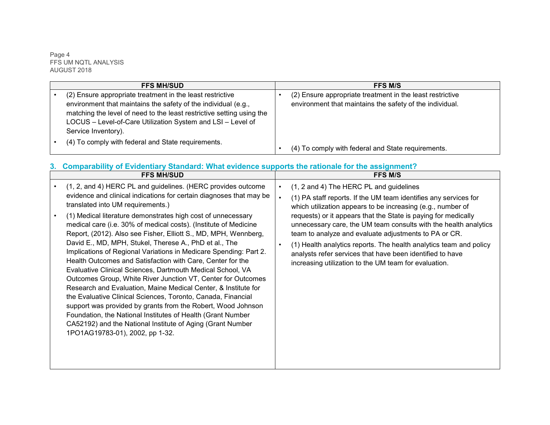Page 4 FFS UM NQTL ANALYSIS AUGUST 2018

| <b>FFS MH/SUD</b>                                                                                                                                                                                                                                                                          | <b>FFS M/S</b>                                                                                                        |
|--------------------------------------------------------------------------------------------------------------------------------------------------------------------------------------------------------------------------------------------------------------------------------------------|-----------------------------------------------------------------------------------------------------------------------|
| (2) Ensure appropriate treatment in the least restrictive<br>environment that maintains the safety of the individual (e.g.,<br>matching the level of need to the least restrictive setting using the<br>LOCUS - Level-of-Care Utilization System and LSI - Level of<br>Service Inventory). | (2) Ensure appropriate treatment in the least restrictive<br>environment that maintains the safety of the individual. |
| (4) To comply with federal and State requirements.                                                                                                                                                                                                                                         | (4) To comply with federal and State requirements.                                                                    |

# **3. Comparability of Evidentiary Standard: What evidence supports the rationale for the assignment?**

| <b>FFS MH/SUD</b>                                                                                                                                                                                                                                                                                                                                                                                                                                                                                                                                                                                                                                                                                                                                                                                                                                                                                                                                                                                                                                                            | <b>FFS M/S</b>                                                                                                                                                                                                                                                                                                                                                                                                                                                                                                                                                                                  |
|------------------------------------------------------------------------------------------------------------------------------------------------------------------------------------------------------------------------------------------------------------------------------------------------------------------------------------------------------------------------------------------------------------------------------------------------------------------------------------------------------------------------------------------------------------------------------------------------------------------------------------------------------------------------------------------------------------------------------------------------------------------------------------------------------------------------------------------------------------------------------------------------------------------------------------------------------------------------------------------------------------------------------------------------------------------------------|-------------------------------------------------------------------------------------------------------------------------------------------------------------------------------------------------------------------------------------------------------------------------------------------------------------------------------------------------------------------------------------------------------------------------------------------------------------------------------------------------------------------------------------------------------------------------------------------------|
| (1, 2, and 4) HERC PL and guidelines. (HERC provides outcome<br>evidence and clinical indications for certain diagnoses that may be<br>translated into UM requirements.)<br>(1) Medical literature demonstrates high cost of unnecessary<br>medical care (i.e. 30% of medical costs). (Institute of Medicine<br>Report, (2012). Also see Fisher, Elliott S., MD, MPH, Wennberg,<br>David E., MD, MPH, Stukel, Therese A., PhD et al., The<br>Implications of Regional Variations in Medicare Spending: Part 2.<br>Health Outcomes and Satisfaction with Care, Center for the<br>Evaluative Clinical Sciences, Dartmouth Medical School, VA<br>Outcomes Group, White River Junction VT, Center for Outcomes<br>Research and Evaluation, Maine Medical Center, & Institute for<br>the Evaluative Clinical Sciences, Toronto, Canada, Financial<br>support was provided by grants from the Robert, Wood Johnson<br>Foundation, the National Institutes of Health (Grant Number<br>CA52192) and the National Institute of Aging (Grant Number<br>1PO1AG19783-01), 2002, pp 1-32. | (1, 2 and 4) The HERC PL and guidelines<br>$\bullet$<br>(1) PA staff reports. If the UM team identifies any services for<br>which utilization appears to be increasing (e.g., number of<br>requests) or it appears that the State is paying for medically<br>unnecessary care, the UM team consults with the health analytics<br>team to analyze and evaluate adjustments to PA or CR.<br>(1) Health analytics reports. The health analytics team and policy<br>$\bullet$<br>analysts refer services that have been identified to have<br>increasing utilization to the UM team for evaluation. |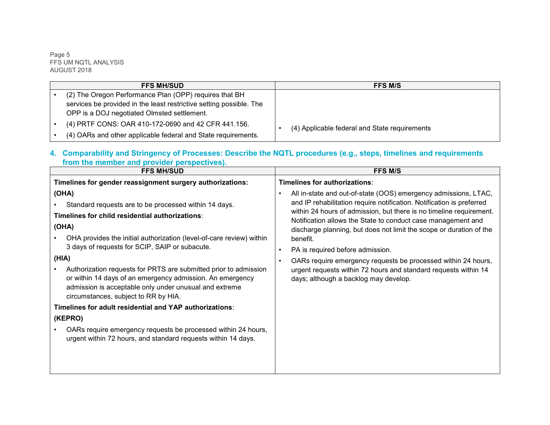Page 5 FFS UM NQTL ANALYSIS AUGUST 2018

| <b>FFS MH/SUD</b>                                                   | <b>FFS M/S</b>                                |
|---------------------------------------------------------------------|-----------------------------------------------|
| (2) The Oregon Performance Plan (OPP) requires that BH              |                                               |
| services be provided in the least restrictive setting possible. The |                                               |
| OPP is a DOJ negotiated Olmsted settlement.                         |                                               |
| (4) PRTF CONS: OAR 410-172-0690 and 42 CFR 441.156.                 | (4) Applicable federal and State requirements |
| (4) OARs and other applicable federal and State requirements.       |                                               |

#### **4. Comparability and Stringency of Processes: Describe the NQTL procedures (e.g., steps, timelines and requirements from the member and provider perspectives).**

| <b>FFS MH/SUD</b>                                                                                                                                                                                                                                                                                                          | <b>FFS M/S</b>                                                                                                                                                                                                                                                                                                                                                                                                                                                                                                                     |
|----------------------------------------------------------------------------------------------------------------------------------------------------------------------------------------------------------------------------------------------------------------------------------------------------------------------------|------------------------------------------------------------------------------------------------------------------------------------------------------------------------------------------------------------------------------------------------------------------------------------------------------------------------------------------------------------------------------------------------------------------------------------------------------------------------------------------------------------------------------------|
| Timelines for gender reassignment surgery authorizations:<br>(OHA)<br>Standard requests are to be processed within 14 days.<br>Timelines for child residential authorizations:<br>(OHA)<br>OHA provides the initial authorization (level-of-care review) within<br>3 days of requests for SCIP, SAIP or subacute.<br>(HIA) | Timelines for authorizations:<br>All in-state and out-of-state (OOS) emergency admissions, LTAC,<br>$\bullet$<br>and IP rehabilitation require notification. Notification is preferred<br>within 24 hours of admission, but there is no timeline requirement.<br>Notification allows the State to conduct case management and<br>discharge planning, but does not limit the scope or duration of the<br>benefit.<br>PA is required before admission.<br>$\bullet$<br>OARs require emergency requests be processed within 24 hours, |
| Authorization requests for PRTS are submitted prior to admission<br>or within 14 days of an emergency admission. An emergency<br>admission is acceptable only under unusual and extreme<br>circumstances, subject to RR by HIA.                                                                                            | urgent requests within 72 hours and standard requests within 14<br>days; although a backlog may develop.                                                                                                                                                                                                                                                                                                                                                                                                                           |
| Timelines for adult residential and YAP authorizations:                                                                                                                                                                                                                                                                    |                                                                                                                                                                                                                                                                                                                                                                                                                                                                                                                                    |
| (KEPRO)                                                                                                                                                                                                                                                                                                                    |                                                                                                                                                                                                                                                                                                                                                                                                                                                                                                                                    |
| OARs require emergency requests be processed within 24 hours,<br>urgent within 72 hours, and standard requests within 14 days.                                                                                                                                                                                             |                                                                                                                                                                                                                                                                                                                                                                                                                                                                                                                                    |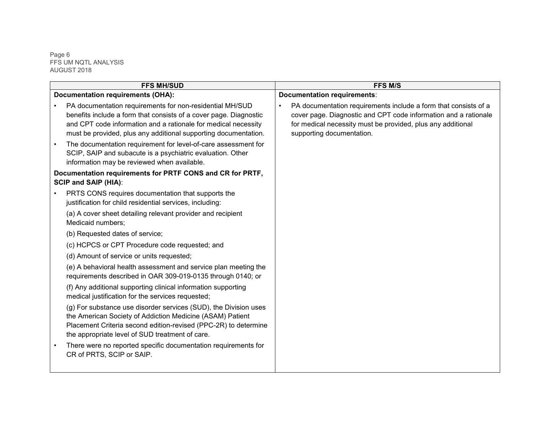Page 6 FFS UM NQTL ANALYSIS AUGUST 2018

| <b>FFS MH/SUD</b>                                                                                                                                                                                                                                                  | <b>FFS M/S</b>                                                                                                                                                                                                                              |
|--------------------------------------------------------------------------------------------------------------------------------------------------------------------------------------------------------------------------------------------------------------------|---------------------------------------------------------------------------------------------------------------------------------------------------------------------------------------------------------------------------------------------|
| <b>Documentation requirements (OHA):</b>                                                                                                                                                                                                                           | <b>Documentation requirements:</b>                                                                                                                                                                                                          |
| PA documentation requirements for non-residential MH/SUD<br>benefits include a form that consists of a cover page. Diagnostic<br>and CPT code information and a rationale for medical necessity<br>must be provided, plus any additional supporting documentation. | PA documentation requirements include a form that consists of a<br>$\bullet$<br>cover page. Diagnostic and CPT code information and a rationale<br>for medical necessity must be provided, plus any additional<br>supporting documentation. |
| The documentation requirement for level-of-care assessment for<br>SCIP, SAIP and subacute is a psychiatric evaluation. Other<br>information may be reviewed when available.                                                                                        |                                                                                                                                                                                                                                             |
| Documentation requirements for PRTF CONS and CR for PRTF,<br><b>SCIP and SAIP (HIA):</b>                                                                                                                                                                           |                                                                                                                                                                                                                                             |
| PRTS CONS requires documentation that supports the<br>justification for child residential services, including:                                                                                                                                                     |                                                                                                                                                                                                                                             |
| (a) A cover sheet detailing relevant provider and recipient<br>Medicaid numbers;                                                                                                                                                                                   |                                                                                                                                                                                                                                             |
| (b) Requested dates of service;                                                                                                                                                                                                                                    |                                                                                                                                                                                                                                             |
| (c) HCPCS or CPT Procedure code requested; and                                                                                                                                                                                                                     |                                                                                                                                                                                                                                             |
| (d) Amount of service or units requested;                                                                                                                                                                                                                          |                                                                                                                                                                                                                                             |
| (e) A behavioral health assessment and service plan meeting the<br>requirements described in OAR 309-019-0135 through 0140; or                                                                                                                                     |                                                                                                                                                                                                                                             |
| (f) Any additional supporting clinical information supporting<br>medical justification for the services requested;                                                                                                                                                 |                                                                                                                                                                                                                                             |
| (g) For substance use disorder services (SUD), the Division uses<br>the American Society of Addiction Medicine (ASAM) Patient<br>Placement Criteria second edition-revised (PPC-2R) to determine<br>the appropriate level of SUD treatment of care.                |                                                                                                                                                                                                                                             |
| There were no reported specific documentation requirements for<br>CR of PRTS, SCIP or SAIP.                                                                                                                                                                        |                                                                                                                                                                                                                                             |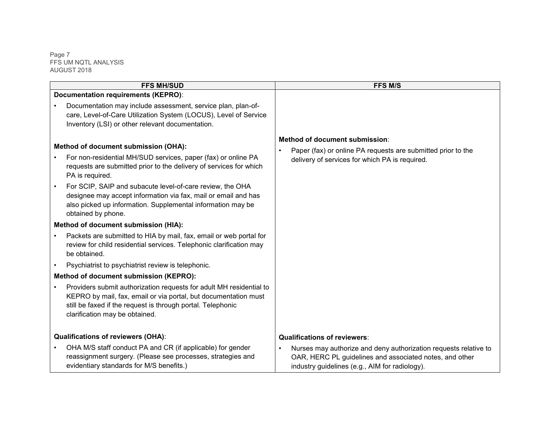Page 7 FFS UM NQTL ANALYSIS AUGUST 2018

| <b>FFS MH/SUD</b>                                                                                                                                                                                                                       | FFS M/S                                                                                                                                                                       |
|-----------------------------------------------------------------------------------------------------------------------------------------------------------------------------------------------------------------------------------------|-------------------------------------------------------------------------------------------------------------------------------------------------------------------------------|
| Documentation requirements (KEPRO):                                                                                                                                                                                                     |                                                                                                                                                                               |
| Documentation may include assessment, service plan, plan-of-<br>care, Level-of-Care Utilization System (LOCUS), Level of Service<br>Inventory (LSI) or other relevant documentation.                                                    |                                                                                                                                                                               |
| Method of document submission (OHA):                                                                                                                                                                                                    | Method of document submission:<br>Paper (fax) or online PA requests are submitted prior to the                                                                                |
| For non-residential MH/SUD services, paper (fax) or online PA<br>requests are submitted prior to the delivery of services for which<br>PA is required.                                                                                  | delivery of services for which PA is required.                                                                                                                                |
| For SCIP, SAIP and subacute level-of-care review, the OHA<br>designee may accept information via fax, mail or email and has<br>also picked up information. Supplemental information may be<br>obtained by phone.                        |                                                                                                                                                                               |
| Method of document submission (HIA):                                                                                                                                                                                                    |                                                                                                                                                                               |
| Packets are submitted to HIA by mail, fax, email or web portal for<br>review for child residential services. Telephonic clarification may<br>be obtained.                                                                               |                                                                                                                                                                               |
| Psychiatrist to psychiatrist review is telephonic.                                                                                                                                                                                      |                                                                                                                                                                               |
| Method of document submission (KEPRO):                                                                                                                                                                                                  |                                                                                                                                                                               |
| Providers submit authorization requests for adult MH residential to<br>KEPRO by mail, fax, email or via portal, but documentation must<br>still be faxed if the request is through portal. Telephonic<br>clarification may be obtained. |                                                                                                                                                                               |
| <b>Qualifications of reviewers (OHA):</b>                                                                                                                                                                                               | <b>Qualifications of reviewers:</b>                                                                                                                                           |
| OHA M/S staff conduct PA and CR (if applicable) for gender<br>reassignment surgery. (Please see processes, strategies and<br>evidentiary standards for M/S benefits.)                                                                   | Nurses may authorize and deny authorization requests relative to<br>OAR, HERC PL guidelines and associated notes, and other<br>industry guidelines (e.g., AIM for radiology). |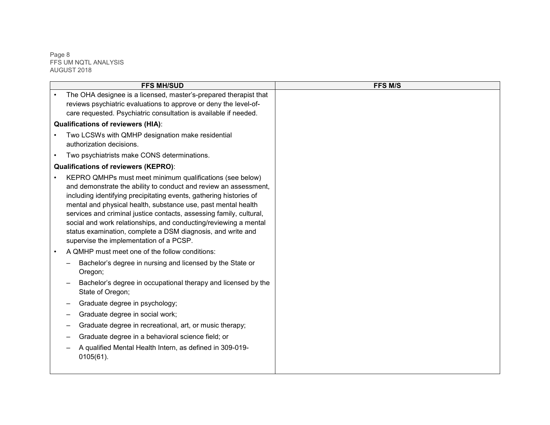Page 8 FFS UM NQTL ANALYSIS AUGUST 2018

| <b>FFS MH/SUD</b>                                                                                                                                                                                                                                                                                                                                                                                                                                                                                                        | <b>FFS M/S</b> |
|--------------------------------------------------------------------------------------------------------------------------------------------------------------------------------------------------------------------------------------------------------------------------------------------------------------------------------------------------------------------------------------------------------------------------------------------------------------------------------------------------------------------------|----------------|
| The OHA designee is a licensed, master's-prepared therapist that<br>reviews psychiatric evaluations to approve or deny the level-of-<br>care requested. Psychiatric consultation is available if needed.                                                                                                                                                                                                                                                                                                                 |                |
| <b>Qualifications of reviewers (HIA):</b>                                                                                                                                                                                                                                                                                                                                                                                                                                                                                |                |
| Two LCSWs with QMHP designation make residential<br>authorization decisions.                                                                                                                                                                                                                                                                                                                                                                                                                                             |                |
| Two psychiatrists make CONS determinations.<br>$\bullet$                                                                                                                                                                                                                                                                                                                                                                                                                                                                 |                |
| <b>Qualifications of reviewers (KEPRO):</b>                                                                                                                                                                                                                                                                                                                                                                                                                                                                              |                |
| KEPRO QMHPs must meet minimum qualifications (see below)<br>and demonstrate the ability to conduct and review an assessment,<br>including identifying precipitating events, gathering histories of<br>mental and physical health, substance use, past mental health<br>services and criminal justice contacts, assessing family, cultural,<br>social and work relationships, and conducting/reviewing a mental<br>status examination, complete a DSM diagnosis, and write and<br>supervise the implementation of a PCSP. |                |
| A QMHP must meet one of the follow conditions:                                                                                                                                                                                                                                                                                                                                                                                                                                                                           |                |
| Bachelor's degree in nursing and licensed by the State or<br>Oregon;                                                                                                                                                                                                                                                                                                                                                                                                                                                     |                |
| Bachelor's degree in occupational therapy and licensed by the<br>State of Oregon;                                                                                                                                                                                                                                                                                                                                                                                                                                        |                |
| Graduate degree in psychology;                                                                                                                                                                                                                                                                                                                                                                                                                                                                                           |                |
| Graduate degree in social work;                                                                                                                                                                                                                                                                                                                                                                                                                                                                                          |                |
| Graduate degree in recreational, art, or music therapy;                                                                                                                                                                                                                                                                                                                                                                                                                                                                  |                |
| Graduate degree in a behavioral science field; or                                                                                                                                                                                                                                                                                                                                                                                                                                                                        |                |
| A qualified Mental Health Intern, as defined in 309-019-<br>$0105(61)$ .                                                                                                                                                                                                                                                                                                                                                                                                                                                 |                |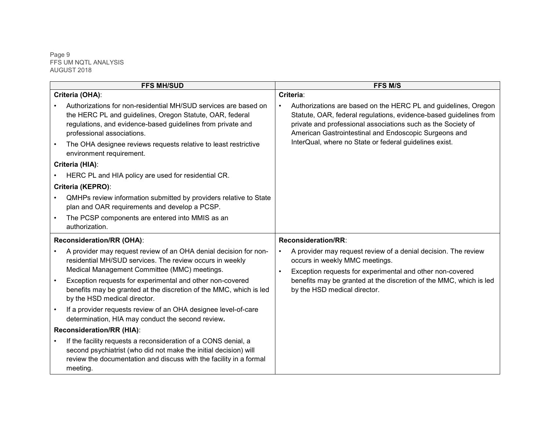Page 9 FFS UM NQTL ANALYSIS AUGUST 2018

| <b>FFS MH/SUD</b>                                                                                                                                                                                                                                                                           |                        | <b>FFS M/S</b>                                                                                                                                                                                                                                                                                                         |                                                                                                    |
|---------------------------------------------------------------------------------------------------------------------------------------------------------------------------------------------------------------------------------------------------------------------------------------------|------------------------|------------------------------------------------------------------------------------------------------------------------------------------------------------------------------------------------------------------------------------------------------------------------------------------------------------------------|----------------------------------------------------------------------------------------------------|
| Criteria (OHA):                                                                                                                                                                                                                                                                             |                        | Criteria:                                                                                                                                                                                                                                                                                                              |                                                                                                    |
| Authorizations for non-residential MH/SUD services are based on<br>the HERC PL and guidelines, Oregon Statute, OAR, federal<br>regulations, and evidence-based guidelines from private and<br>professional associations.<br>The OHA designee reviews requests relative to least restrictive | $\bullet$              | Authorizations are based on the HERC PL and guidelines, Oregon<br>Statute, OAR, federal regulations, evidence-based guidelines from<br>private and professional associations such as the Society of<br>American Gastrointestinal and Endoscopic Surgeons and<br>InterQual, where no State or federal guidelines exist. |                                                                                                    |
| environment requirement.                                                                                                                                                                                                                                                                    |                        |                                                                                                                                                                                                                                                                                                                        |                                                                                                    |
| Criteria (HIA):                                                                                                                                                                                                                                                                             |                        |                                                                                                                                                                                                                                                                                                                        |                                                                                                    |
| HERC PL and HIA policy are used for residential CR.                                                                                                                                                                                                                                         |                        |                                                                                                                                                                                                                                                                                                                        |                                                                                                    |
| Criteria (KEPRO):                                                                                                                                                                                                                                                                           |                        |                                                                                                                                                                                                                                                                                                                        |                                                                                                    |
| QMHPs review information submitted by providers relative to State<br>plan and OAR requirements and develop a PCSP.                                                                                                                                                                          |                        |                                                                                                                                                                                                                                                                                                                        |                                                                                                    |
| The PCSP components are entered into MMIS as an<br>authorization.                                                                                                                                                                                                                           |                        |                                                                                                                                                                                                                                                                                                                        |                                                                                                    |
| Reconsideration/RR (OHA):                                                                                                                                                                                                                                                                   |                        | Reconsideration/RR:                                                                                                                                                                                                                                                                                                    |                                                                                                    |
| A provider may request review of an OHA denial decision for non-<br>residential MH/SUD services. The review occurs in weekly<br>Medical Management Committee (MMC) meetings.                                                                                                                | $\bullet$<br>$\bullet$ | A provider may request review of a denial decision. The review<br>occurs in weekly MMC meetings.<br>Exception requests for experimental and other non-covered                                                                                                                                                          |                                                                                                    |
| Exception requests for experimental and other non-covered<br>benefits may be granted at the discretion of the MMC, which is led<br>by the HSD medical director.                                                                                                                             |                        |                                                                                                                                                                                                                                                                                                                        | benefits may be granted at the discretion of the MMC, which is led<br>by the HSD medical director. |
| If a provider requests review of an OHA designee level-of-care<br>determination, HIA may conduct the second review.                                                                                                                                                                         |                        |                                                                                                                                                                                                                                                                                                                        |                                                                                                    |
| Reconsideration/RR (HIA):                                                                                                                                                                                                                                                                   |                        |                                                                                                                                                                                                                                                                                                                        |                                                                                                    |
| If the facility requests a reconsideration of a CONS denial, a<br>second psychiatrist (who did not make the initial decision) will<br>review the documentation and discuss with the facility in a formal<br>meeting.                                                                        |                        |                                                                                                                                                                                                                                                                                                                        |                                                                                                    |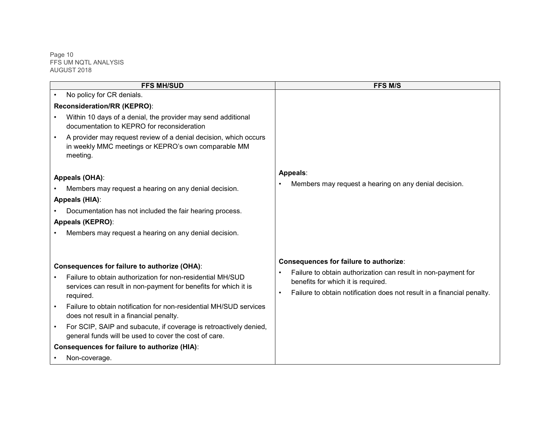Page 10 FFS UM NQTL ANALYSIS AUGUST 2018

| <b>FFS MH/SUD</b>                                                                                                                   | <b>FFS M/S</b>                                                                                                                                |
|-------------------------------------------------------------------------------------------------------------------------------------|-----------------------------------------------------------------------------------------------------------------------------------------------|
| No policy for CR denials.                                                                                                           |                                                                                                                                               |
| Reconsideration/RR (KEPRO):                                                                                                         |                                                                                                                                               |
| Within 10 days of a denial, the provider may send additional<br>documentation to KEPRO for reconsideration                          |                                                                                                                                               |
| A provider may request review of a denial decision, which occurs<br>in weekly MMC meetings or KEPRO's own comparable MM<br>meeting. |                                                                                                                                               |
| Appeals (OHA):<br>Members may request a hearing on any denial decision.                                                             | Appeals:<br>Members may request a hearing on any denial decision.                                                                             |
| Appeals (HIA):                                                                                                                      |                                                                                                                                               |
| Documentation has not included the fair hearing process.                                                                            |                                                                                                                                               |
| Appeals (KEPRO):                                                                                                                    |                                                                                                                                               |
| Members may request a hearing on any denial decision.                                                                               |                                                                                                                                               |
| Consequences for failure to authorize (OHA):<br>Failure to obtain authorization for non-residential MH/SUD                          | Consequences for failure to authorize:<br>Failure to obtain authorization can result in non-payment for<br>benefits for which it is required. |
| services can result in non-payment for benefits for which it is<br>required.                                                        | Failure to obtain notification does not result in a financial penalty.<br>$\bullet$                                                           |
| Failure to obtain notification for non-residential MH/SUD services<br>does not result in a financial penalty.                       |                                                                                                                                               |
| For SCIP, SAIP and subacute, if coverage is retroactively denied,<br>general funds will be used to cover the cost of care.          |                                                                                                                                               |
| <b>Consequences for failure to authorize (HIA):</b>                                                                                 |                                                                                                                                               |
| Non-coverage.                                                                                                                       |                                                                                                                                               |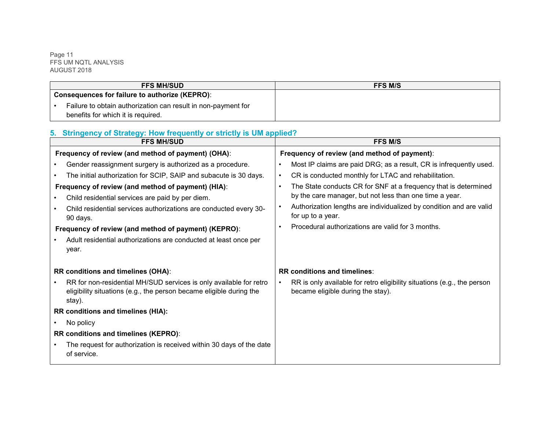Page 11 FFS UM NQTL ANALYSIS AUGUST 2018

| <b>FFS MH/SUD</b>                                             | <b>FFS M/S</b> |
|---------------------------------------------------------------|----------------|
| <b>Consequences for failure to authorize (KEPRO):</b>         |                |
| Failure to obtain authorization can result in non-payment for |                |
| benefits for which it is required.                            |                |

# **5. Stringency of Strategy: How frequently or strictly is UM applied?**

| <b>FFS MH/SUD</b>                                                                                                                                                                                                                                                                                                                                                                                                                                     | <b>FFS M/S</b>                                                                                                                                                                                                                                                                                                                                                                                                                                                |
|-------------------------------------------------------------------------------------------------------------------------------------------------------------------------------------------------------------------------------------------------------------------------------------------------------------------------------------------------------------------------------------------------------------------------------------------------------|---------------------------------------------------------------------------------------------------------------------------------------------------------------------------------------------------------------------------------------------------------------------------------------------------------------------------------------------------------------------------------------------------------------------------------------------------------------|
| Frequency of review (and method of payment) (OHA):                                                                                                                                                                                                                                                                                                                                                                                                    | Frequency of review (and method of payment):                                                                                                                                                                                                                                                                                                                                                                                                                  |
| Gender reassignment surgery is authorized as a procedure.<br>The initial authorization for SCIP, SAIP and subacute is 30 days.<br>Frequency of review (and method of payment) (HIA):<br>Child residential services are paid by per diem.<br>Child residential services authorizations are conducted every 30-<br>90 days.<br>Frequency of review (and method of payment) (KEPRO):<br>Adult residential authorizations are conducted at least once per | Most IP claims are paid DRG; as a result, CR is infrequently used.<br>$\bullet$<br>CR is conducted monthly for LTAC and rehabilitation.<br>$\bullet$<br>The State conducts CR for SNF at a frequency that is determined<br>$\bullet$<br>by the care manager, but not less than one time a year.<br>Authorization lengths are individualized by condition and are valid<br>$\bullet$<br>for up to a year.<br>Procedural authorizations are valid for 3 months. |
| year.<br>RR conditions and timelines (OHA):                                                                                                                                                                                                                                                                                                                                                                                                           | RR conditions and timelines:                                                                                                                                                                                                                                                                                                                                                                                                                                  |
| RR for non-residential MH/SUD services is only available for retro<br>eligibility situations (e.g., the person became eligible during the<br>stay).                                                                                                                                                                                                                                                                                                   | RR is only available for retro eligibility situations (e.g., the person<br>$\bullet$<br>became eligible during the stay).                                                                                                                                                                                                                                                                                                                                     |
| RR conditions and timelines (HIA):                                                                                                                                                                                                                                                                                                                                                                                                                    |                                                                                                                                                                                                                                                                                                                                                                                                                                                               |
| No policy                                                                                                                                                                                                                                                                                                                                                                                                                                             |                                                                                                                                                                                                                                                                                                                                                                                                                                                               |
| RR conditions and timelines (KEPRO):                                                                                                                                                                                                                                                                                                                                                                                                                  |                                                                                                                                                                                                                                                                                                                                                                                                                                                               |
| The request for authorization is received within 30 days of the date<br>of service.                                                                                                                                                                                                                                                                                                                                                                   |                                                                                                                                                                                                                                                                                                                                                                                                                                                               |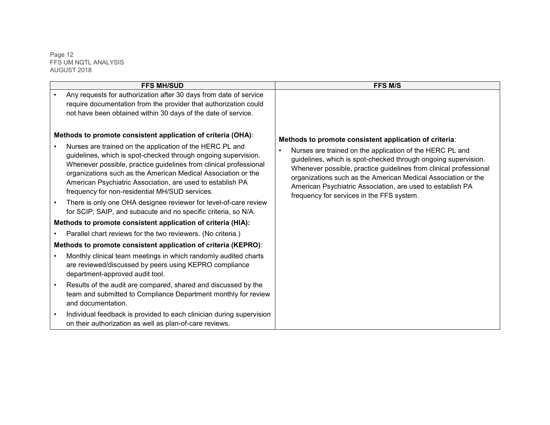Page 12 FFS UM NQTL ANALYSIS AUGUST 2018

| <b>FFS MH/SUD</b>                                                                                                                                                                                                                                                                                                                                                                                                                                                                                                                                                                                                                                      | <b>FFS M/S</b>                                                                                                                                                                                                                                                                                                                                                                                                                        |
|--------------------------------------------------------------------------------------------------------------------------------------------------------------------------------------------------------------------------------------------------------------------------------------------------------------------------------------------------------------------------------------------------------------------------------------------------------------------------------------------------------------------------------------------------------------------------------------------------------------------------------------------------------|---------------------------------------------------------------------------------------------------------------------------------------------------------------------------------------------------------------------------------------------------------------------------------------------------------------------------------------------------------------------------------------------------------------------------------------|
| Any requests for authorization after 30 days from date of service<br>require documentation from the provider that authorization could<br>not have been obtained within 30 days of the date of service.                                                                                                                                                                                                                                                                                                                                                                                                                                                 |                                                                                                                                                                                                                                                                                                                                                                                                                                       |
| Methods to promote consistent application of criteria (OHA):<br>Nurses are trained on the application of the HERC PL and<br>guidelines, which is spot-checked through ongoing supervision.<br>Whenever possible, practice guidelines from clinical professional<br>organizations such as the American Medical Association or the<br>American Psychiatric Association, are used to establish PA<br>frequency for non-residential MH/SUD services.<br>There is only one OHA designee reviewer for level-of-care review<br>for SCIP, SAIP, and subacute and no specific criteria, so N/A.<br>Methods to promote consistent application of criteria (HIA): | Methods to promote consistent application of criteria:<br>Nurses are trained on the application of the HERC PL and<br>guidelines, which is spot-checked through ongoing supervision.<br>Whenever possible, practice guidelines from clinical professional<br>organizations such as the American Medical Association or the<br>American Psychiatric Association, are used to establish PA<br>frequency for services in the FFS system. |
| Parallel chart reviews for the two reviewers. (No criteria.)                                                                                                                                                                                                                                                                                                                                                                                                                                                                                                                                                                                           |                                                                                                                                                                                                                                                                                                                                                                                                                                       |
| Methods to promote consistent application of criteria (KEPRO):                                                                                                                                                                                                                                                                                                                                                                                                                                                                                                                                                                                         |                                                                                                                                                                                                                                                                                                                                                                                                                                       |
| Monthly clinical team meetings in which randomly audited charts<br>are reviewed/discussed by peers using KEPRO compliance<br>department-approved audit tool.                                                                                                                                                                                                                                                                                                                                                                                                                                                                                           |                                                                                                                                                                                                                                                                                                                                                                                                                                       |
| Results of the audit are compared, shared and discussed by the<br>team and submitted to Compliance Department monthly for review<br>and documentation.                                                                                                                                                                                                                                                                                                                                                                                                                                                                                                 |                                                                                                                                                                                                                                                                                                                                                                                                                                       |
| Individual feedback is provided to each clinician during supervision<br>on their authorization as well as plan-of-care reviews.                                                                                                                                                                                                                                                                                                                                                                                                                                                                                                                        |                                                                                                                                                                                                                                                                                                                                                                                                                                       |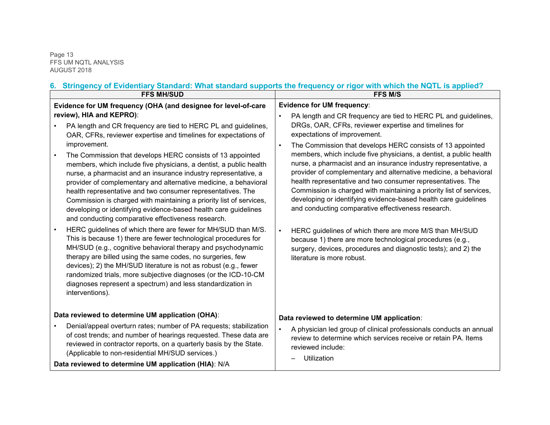Page 13 FFS UM NQTL ANALYSIS AUGUST 2018

# **6. Stringency of Evidentiary Standard: What standard supports the frequency or rigor with which the NQTL is applied?**

| <b>FFS MH/SUD</b>                                                                                                                                                                                                                                                                                                                                                                                                                                                                                                                                                                                                                                                                                                                                                                                                                                                                                                                                                                                                                                                                                                                                                                                                                                                                   | <u>Umingency of Evidentially Olandard. What Standard Supports the hequency of high-with which the NGTE is applied:</u><br><b>FFS M/S</b>                                                                                                                                                                                                                                                                                                                                                                                                                                                                                                                                                                                                                                                                                                                                                                                                                                                              |  |  |
|-------------------------------------------------------------------------------------------------------------------------------------------------------------------------------------------------------------------------------------------------------------------------------------------------------------------------------------------------------------------------------------------------------------------------------------------------------------------------------------------------------------------------------------------------------------------------------------------------------------------------------------------------------------------------------------------------------------------------------------------------------------------------------------------------------------------------------------------------------------------------------------------------------------------------------------------------------------------------------------------------------------------------------------------------------------------------------------------------------------------------------------------------------------------------------------------------------------------------------------------------------------------------------------|-------------------------------------------------------------------------------------------------------------------------------------------------------------------------------------------------------------------------------------------------------------------------------------------------------------------------------------------------------------------------------------------------------------------------------------------------------------------------------------------------------------------------------------------------------------------------------------------------------------------------------------------------------------------------------------------------------------------------------------------------------------------------------------------------------------------------------------------------------------------------------------------------------------------------------------------------------------------------------------------------------|--|--|
| Evidence for UM frequency (OHA (and designee for level-of-care<br>review), HIA and KEPRO):<br>PA length and CR frequency are tied to HERC PL and guidelines,<br>OAR, CFRs, reviewer expertise and timelines for expectations of<br>improvement.<br>The Commission that develops HERC consists of 13 appointed<br>members, which include five physicians, a dentist, a public health<br>nurse, a pharmacist and an insurance industry representative, a<br>provider of complementary and alternative medicine, a behavioral<br>health representative and two consumer representatives. The<br>Commission is charged with maintaining a priority list of services,<br>developing or identifying evidence-based health care guidelines<br>and conducting comparative effectiveness research.<br>HERC guidelines of which there are fewer for MH/SUD than M/S.<br>This is because 1) there are fewer technological procedures for<br>MH/SUD (e.g., cognitive behavioral therapy and psychodynamic<br>therapy are billed using the same codes, no surgeries, few<br>devices); 2) the MH/SUD literature is not as robust (e.g., fewer<br>randomized trials, more subjective diagnoses (or the ICD-10-CM<br>diagnoses represent a spectrum) and less standardization in<br>interventions). | <b>Evidence for UM frequency:</b><br>PA length and CR frequency are tied to HERC PL and guidelines,<br>$\bullet$<br>DRGs, OAR, CFRs, reviewer expertise and timelines for<br>expectations of improvement.<br>The Commission that develops HERC consists of 13 appointed<br>$\bullet$<br>members, which include five physicians, a dentist, a public health<br>nurse, a pharmacist and an insurance industry representative, a<br>provider of complementary and alternative medicine, a behavioral<br>health representative and two consumer representatives. The<br>Commission is charged with maintaining a priority list of services,<br>developing or identifying evidence-based health care guidelines<br>and conducting comparative effectiveness research.<br>HERC guidelines of which there are more M/S than MH/SUD<br>$\bullet$<br>because 1) there are more technological procedures (e.g.,<br>surgery, devices, procedures and diagnostic tests); and 2) the<br>literature is more robust. |  |  |
| Data reviewed to determine UM application (OHA):<br>Denial/appeal overturn rates; number of PA requests; stabilization<br>of cost trends; and number of hearings requested. These data are<br>reviewed in contractor reports, on a quarterly basis by the State.<br>(Applicable to non-residential MH/SUD services.)<br>Data reviewed to determine UM application (HIA): N/A                                                                                                                                                                                                                                                                                                                                                                                                                                                                                                                                                                                                                                                                                                                                                                                                                                                                                                        | Data reviewed to determine UM application:<br>$\bullet$<br>A physician led group of clinical professionals conducts an annual<br>review to determine which services receive or retain PA. Items<br>reviewed include:<br>Utilization                                                                                                                                                                                                                                                                                                                                                                                                                                                                                                                                                                                                                                                                                                                                                                   |  |  |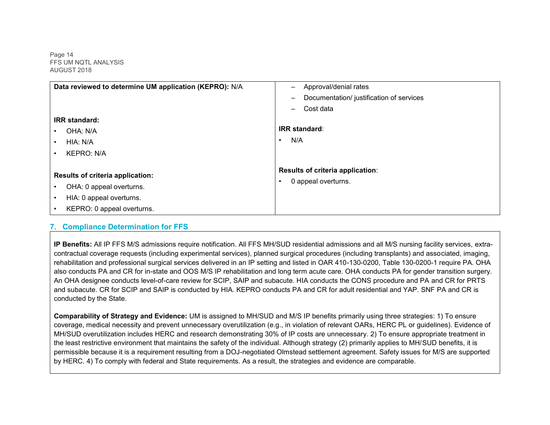Page 14 FFS UM NQTL ANALYSIS AUGUST 2018

| Data reviewed to determine UM application (KEPRO): N/A | Approval/denial rates<br>-                                           |
|--------------------------------------------------------|----------------------------------------------------------------------|
|                                                        | Documentation/ justification of services<br>$\overline{\phantom{0}}$ |
|                                                        | Cost data<br>—                                                       |
| <b>IRR</b> standard:                                   |                                                                      |
| OHA: N/A<br>٠                                          | <b>IRR</b> standard:                                                 |
| HIA: N/A<br>$\bullet$                                  | N/A<br>$\bullet$                                                     |
| <b>KEPRO: N/A</b><br>٠                                 |                                                                      |
| <b>Results of criteria application:</b>                | Results of criteria application:                                     |
| OHA: 0 appeal overturns.<br>٠                          | 0 appeal overturns.                                                  |
| HIA: 0 appeal overturns.                               |                                                                      |
| KEPRO: 0 appeal overturns.                             |                                                                      |

#### **7. Compliance Determination for FFS**

**IP Benefits:** All IP FFS M/S admissions require notification. All FFS MH/SUD residential admissions and all M/S nursing facility services, extracontractual coverage requests (including experimental services), planned surgical procedures (including transplants) and associated, imaging, rehabilitation and professional surgical services delivered in an IP setting and listed in OAR 410-130-0200, Table 130-0200-1 require PA. OHA also conducts PA and CR for in-state and OOS M/S IP rehabilitation and long term acute care. OHA conducts PA for gender transition surgery. An OHA designee conducts level-of-care review for SCIP, SAIP and subacute. HIA conducts the CONS procedure and PA and CR for PRTS and subacute. CR for SCIP and SAIP is conducted by HIA. KEPRO conducts PA and CR for adult residential and YAP. SNF PA and CR is conducted by the State.

**Comparability of Strategy and Evidence:** UM is assigned to MH/SUD and M/S IP benefits primarily using three strategies: 1) To ensure coverage, medical necessity and prevent unnecessary overutilization (e.g., in violation of relevant OARs, HERC PL or guidelines). Evidence of MH/SUD overutilization includes HERC and research demonstrating 30% of IP costs are unnecessary. 2) To ensure appropriate treatment in the least restrictive environment that maintains the safety of the individual. Although strategy (2) primarily applies to MH/SUD benefits, it is permissible because it is a requirement resulting from a DOJ-negotiated Olmstead settlement agreement. Safety issues for M/S are supported by HERC. 4) To comply with federal and State requirements. As a result, the strategies and evidence are comparable.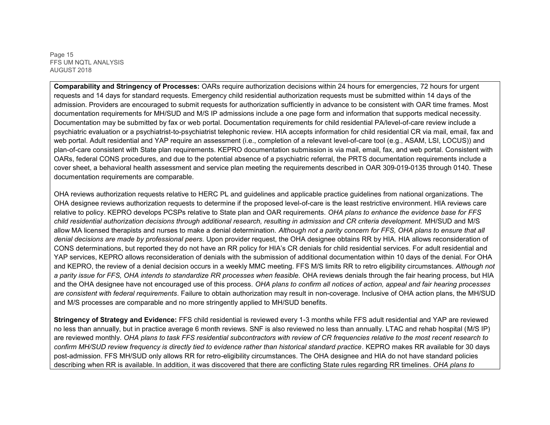Page 15 FFS UM NQTL ANALYSIS AUGUST 2018

**Comparability and Stringency of Processes:** OARs require authorization decisions within 24 hours for emergencies, 72 hours for urgent requests and 14 days for standard requests. Emergency child residential authorization requests must be submitted within 14 days of the admission. Providers are encouraged to submit requests for authorization sufficiently in advance to be consistent with OAR time frames. Most documentation requirements for MH/SUD and M/S IP admissions include a one page form and information that supports medical necessity. Documentation may be submitted by fax or web portal. Documentation requirements for child residential PA/level-of-care review include a psychiatric evaluation or a psychiatrist-to-psychiatrist telephonic review. HIA accepts information for child residential CR via mail, email, fax and web portal. Adult residential and YAP require an assessment (i.e., completion of a relevant level-of-care tool (e.g., ASAM, LSI, LOCUS)) and plan-of-care consistent with State plan requirements. KEPRO documentation submission is via mail, email, fax, and web portal. Consistent with OARs, federal CONS procedures, and due to the potential absence of a psychiatric referral, the PRTS documentation requirements include a cover sheet, a behavioral health assessment and service plan meeting the requirements described in OAR 309-019-0135 through 0140. These documentation requirements are comparable.

OHA reviews authorization requests relative to HERC PL and guidelines and applicable practice guidelines from national organizations. The OHA designee reviews authorization requests to determine if the proposed level-of-care is the least restrictive environment. HIA reviews care relative to policy. KEPRO develops PCSPs relative to State plan and OAR requirements. *OHA plans to enhance the evidence base for FFS child residential authorization decisions through additional research, resulting in admission and CR criteria development.* MH/SUD and M/S allow MA licensed therapists and nurses to make a denial determination. *Although not a parity concern for FFS, OHA plans to ensure that all denial decisions are made by professional peers.* Upon provider request, the OHA designee obtains RR by HIA. HIA allows reconsideration of CONS determinations, but reported they do not have an RR policy for HIA's CR denials for child residential services. For adult residential and YAP services, KEPRO allows reconsideration of denials with the submission of additional documentation within 10 days of the denial. For OHA and KEPRO, the review of a denial decision occurs in a weekly MMC meeting. FFS M/S limits RR to retro eligibility circumstances. *Although not a parity issue for FFS, OHA intends to standardize RR processes when feasible.* OHA reviews denials through the fair hearing process, but HIA and the OHA designee have not encouraged use of this process. *OHA plans to confirm all notices of action, appeal and fair hearing processes are consistent with federal requirements*. Failure to obtain authorization may result in non-coverage. Inclusive of OHA action plans, the MH/SUD and M/S processes are comparable and no more stringently applied to MH/SUD benefits.

**Stringency of Strategy and Evidence:** FFS child residential is reviewed every 1-3 months while FFS adult residential and YAP are reviewed no less than annually, but in practice average 6 month reviews. SNF is also reviewed no less than annually. LTAC and rehab hospital (M/S IP) are reviewed monthly. *OHA plans to task FFS residential subcontractors with review of CR frequencies relative to the most recent research to confirm MH/SUD review frequency is directly tied to evidence rather than historical standard practice*. KEPRO makes RR available for 30 days post-admission. FFS MH/SUD only allows RR for retro-eligibility circumstances. The OHA designee and HIA do not have standard policies describing when RR is available. In addition, it was discovered that there are conflicting State rules regarding RR timelines. *OHA plans to*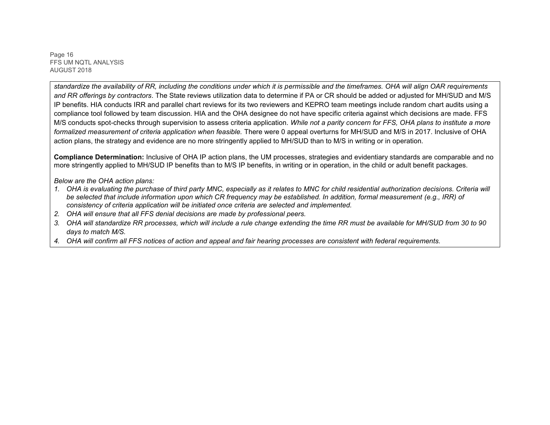Page 16 FFS UM NQTL ANALYSIS AUGUST 2018

*standardize the availability of RR, including the conditions under which it is permissible and the timeframes. OHA will align OAR requirements and RR offerings by contractors*. The State reviews utilization data to determine if PA or CR should be added or adjusted for MH/SUD and M/S IP benefits. HIA conducts IRR and parallel chart reviews for its two reviewers and KEPRO team meetings include random chart audits using a compliance tool followed by team discussion. HIA and the OHA designee do not have specific criteria against which decisions are made. FFS M/S conducts spot-checks through supervision to assess criteria application. *While not a parity concern for FFS, OHA plans to institute a more formalized measurement of criteria application when feasible.* There were 0 appeal overturns for MH/SUD and M/S in 2017. Inclusive of OHA action plans, the strategy and evidence are no more stringently applied to MH/SUD than to M/S in writing or in operation.

**Compliance Determination:** Inclusive of OHA IP action plans, the UM processes, strategies and evidentiary standards are comparable and no more stringently applied to MH/SUD IP benefits than to M/S IP benefits, in writing or in operation, in the child or adult benefit packages.

*Below are the OHA action plans:* 

- *1. OHA is evaluating the purchase of third party MNC, especially as it relates to MNC for child residential authorization decisions. Criteria will be selected that include information upon which CR frequency may be established. In addition, formal measurement (e.g., IRR) of consistency of criteria application will be initiated once criteria are selected and implemented.*
- *2. OHA will ensure that all FFS denial decisions are made by professional peers.*
- *3. OHA will standardize RR processes, which will include a rule change extending the time RR must be available for MH/SUD from 30 to 90 days to match M/S.*
- *4. OHA will confirm all FFS notices of action and appeal and fair hearing processes are consistent with federal requirements.*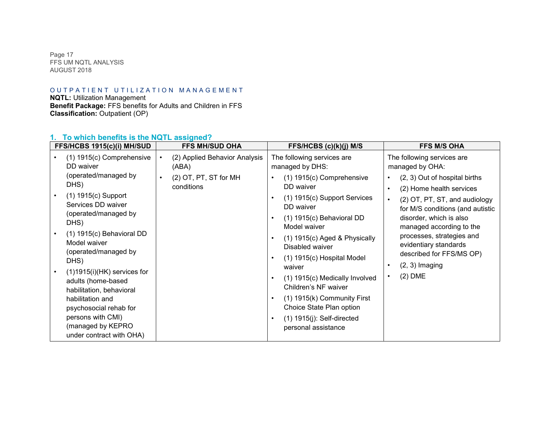Page 17 FFS UM NQTL ANALYSIS AUGUST 2018

# OUTPATIENT UTILIZATION MANAGEMENT

**NQTL:** Utilization Management **Benefit Package:** FFS benefits for Adults and Children in FFS **Classification:** Outpatient (OP)

# **1. To which benefits is the NQTL assigned?**

| FFS/HCBS 1915(c)(i) MH/SUD                                                                                                                                                                                                          | <b>FFS MH/SUD OHA</b>                                                                                   | FFS/HCBS (c)(k)(j) M/S                                                                                                                                                                                                                          | <b>FFS M/S OHA</b>                                                                                                                                                                                                                                                                                                                                              |
|-------------------------------------------------------------------------------------------------------------------------------------------------------------------------------------------------------------------------------------|---------------------------------------------------------------------------------------------------------|-------------------------------------------------------------------------------------------------------------------------------------------------------------------------------------------------------------------------------------------------|-----------------------------------------------------------------------------------------------------------------------------------------------------------------------------------------------------------------------------------------------------------------------------------------------------------------------------------------------------------------|
| (1) 1915(c) Comprehensive<br>DD waiver<br>(operated/managed by<br>DHS)<br>(1) 1915(c) Support<br>Services DD waiver<br>(operated/managed by<br>DHS)<br>$(1)$ 1915 $(c)$ Behavioral DD<br>Model waiver                               | (2) Applied Behavior Analysis<br>$\bullet$<br>(ABA)<br>(2) OT, PT, ST for MH<br>$\bullet$<br>conditions | The following services are<br>managed by DHS:<br>(1) 1915(c) Comprehensive<br>DD waiver<br>$(1)$ 1915 $(c)$ Support Services<br>DD waiver<br>$(1)$ 1915 $(c)$ Behavioral DD<br>Model waiver<br>(1) 1915(c) Aged & Physically<br>Disabled waiver | The following services are<br>managed by OHA:<br>(2, 3) Out of hospital births<br>$\bullet$<br>(2) Home health services<br>$\bullet$<br>(2) OT, PT, ST, and audiology<br>$\bullet$<br>for M/S conditions (and autistic<br>disorder, which is also<br>managed according to the<br>processes, strategies and<br>evidentiary standards<br>described for FFS/MS OP) |
| (operated/managed by<br>DHS)<br>$(1)1915(i)(HK)$ services for<br>adults (home-based<br>habilitation, behavioral<br>habilitation and<br>psychosocial rehab for<br>persons with CMI)<br>(managed by KEPRO<br>under contract with OHA) |                                                                                                         | (1) 1915(c) Hospital Model<br>waiver<br>(1) 1915(c) Medically Involved<br>Children's NF waiver<br>$(1)$ 1915(k) Community First<br>Choice State Plan option<br>$(1)$ 1915 $(j)$ : Self-directed<br>personal assistance                          | $(2, 3)$ Imaging<br>$\bullet$<br>$(2)$ DME<br>$\bullet$                                                                                                                                                                                                                                                                                                         |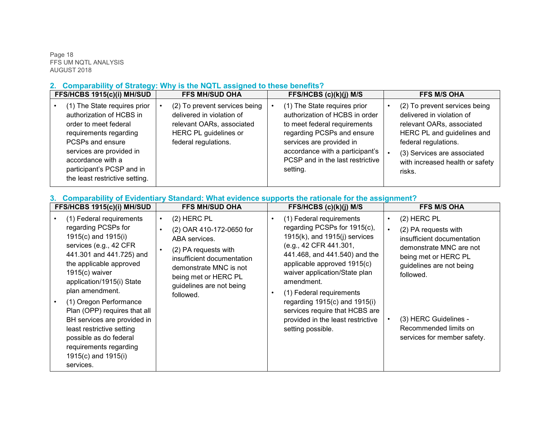Page 18 FFS UM NQTL ANALYSIS AUGUST 2018

# **2. Comparability of Strategy: Why is the NQTL assigned to these benefits?**

| FFS/HCBS 1915(c)(i) MH/SUD                                                                                                                                                                                                                      | <b>FFS MH/SUD OHA</b>                                                                                                                    | FFS/HCBS (c)(k)(j) M/S                                                                                                                                                                                                                      | <b>FFS M/S OHA</b>                                                                                                                                                                                                        |
|-------------------------------------------------------------------------------------------------------------------------------------------------------------------------------------------------------------------------------------------------|------------------------------------------------------------------------------------------------------------------------------------------|---------------------------------------------------------------------------------------------------------------------------------------------------------------------------------------------------------------------------------------------|---------------------------------------------------------------------------------------------------------------------------------------------------------------------------------------------------------------------------|
| (1) The State requires prior<br>authorization of HCBS in<br>order to meet federal<br>requirements regarding<br>PCSPs and ensure<br>services are provided in<br>accordance with a<br>participant's PCSP and in<br>the least restrictive setting. | (2) To prevent services being<br>delivered in violation of<br>relevant OARs, associated<br>HERC PL guidelines or<br>federal regulations. | (1) The State requires prior<br>authorization of HCBS in order<br>to meet federal requirements<br>regarding PCSPs and ensure<br>services are provided in<br>accordance with a participant's<br>PCSP and in the last restrictive<br>setting. | (2) To prevent services being<br>delivered in violation of<br>relevant OARs, associated<br>HERC PL and guidelines and<br>federal regulations.<br>(3) Services are associated<br>with increased health or safety<br>risks. |

### **3. Comparability of Evidentiary Standard: What evidence supports the rationale for the assignment?**

| <b>FFS/HCBS 1915(c)(i) MH/SUD</b>                                                                                                                                                                                                                                                                                                                                                                                                         | <b>FFS MH/SUD OHA</b>                                                                                                                                                                                                                              | FFS/HCBS $(c)(k)(j)$ M/S                                                                                                                                                                                                                                                                                                                                                                             | <b>FFS M/S OHA</b>                                                                                                                                                                                                                                                         |
|-------------------------------------------------------------------------------------------------------------------------------------------------------------------------------------------------------------------------------------------------------------------------------------------------------------------------------------------------------------------------------------------------------------------------------------------|----------------------------------------------------------------------------------------------------------------------------------------------------------------------------------------------------------------------------------------------------|------------------------------------------------------------------------------------------------------------------------------------------------------------------------------------------------------------------------------------------------------------------------------------------------------------------------------------------------------------------------------------------------------|----------------------------------------------------------------------------------------------------------------------------------------------------------------------------------------------------------------------------------------------------------------------------|
| (1) Federal requirements<br>regarding PCSPs for<br>1915(c) and 1915(i)<br>services (e.g., 42 CFR<br>441.301 and 441.725) and<br>the applicable approved<br>$1915(c)$ waiver<br>application/1915(i) State<br>plan amendment.<br>(1) Oregon Performance<br>Plan (OPP) requires that all<br>BH services are provided in<br>least restrictive setting<br>possible as do federal<br>requirements regarding<br>1915(c) and 1915(i)<br>services. | $(2)$ HERC PL<br>$\bullet$<br>(2) OAR 410-172-0650 for<br>$\bullet$<br>ABA services.<br>(2) PA requests with<br>$\bullet$<br>insufficient documentation<br>demonstrate MNC is not<br>being met or HERC PL<br>guidelines are not being<br>followed. | (1) Federal requirements<br>regarding PCSPs for 1915(c),<br>$1915(k)$ , and $1915(i)$ services<br>(e.g., 42 CFR 441.301,<br>441.468, and 441.540) and the<br>applicable approved 1915(c)<br>waiver application/State plan<br>amendment.<br>(1) Federal requirements<br>regarding $1915(c)$ and $1915(i)$<br>services require that HCBS are<br>provided in the least restrictive<br>setting possible. | $(2)$ HERC PL<br>$\bullet$<br>(2) PA requests with<br>$\bullet$<br>insufficient documentation<br>demonstrate MNC are not<br>being met or HERC PL<br>guidelines are not being<br>followed.<br>(3) HERC Guidelines -<br>Recommended limits on<br>services for member safety. |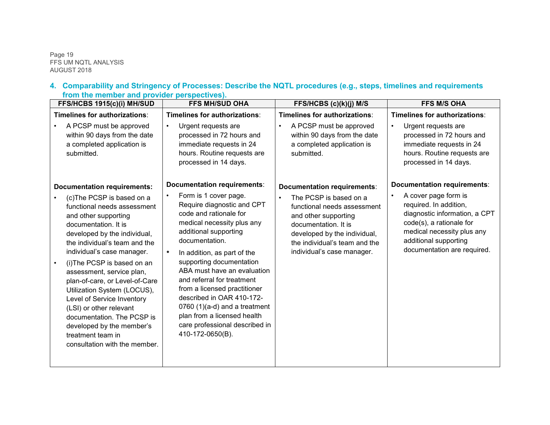Page 19 FFS UM NQTL ANALYSIS AUGUST 2018

#### **4. Comparability and Stringency of Processes: Describe the NQTL procedures (e.g., steps, timelines and requirements from the member and provider perspectives).**

| FFS/HCBS 1915(c)(i) MH/SUD                                                                                                                                                                                                                                                                                                                                                                                                                                                                                                                           | <b>FFS MH/SUD OHA</b>                                                                                                                                                                                                                                                                                                                                                                                                                                                                              | FFS/HCBS (c)(k)(j) M/S                                                                                                                                                                                                                           | <b>FFS M/S OHA</b>                                                                                                                                                                                                                      |
|------------------------------------------------------------------------------------------------------------------------------------------------------------------------------------------------------------------------------------------------------------------------------------------------------------------------------------------------------------------------------------------------------------------------------------------------------------------------------------------------------------------------------------------------------|----------------------------------------------------------------------------------------------------------------------------------------------------------------------------------------------------------------------------------------------------------------------------------------------------------------------------------------------------------------------------------------------------------------------------------------------------------------------------------------------------|--------------------------------------------------------------------------------------------------------------------------------------------------------------------------------------------------------------------------------------------------|-----------------------------------------------------------------------------------------------------------------------------------------------------------------------------------------------------------------------------------------|
| Timelines for authorizations:<br>A PCSP must be approved<br>within 90 days from the date<br>a completed application is<br>submitted.                                                                                                                                                                                                                                                                                                                                                                                                                 | Timelines for authorizations:<br>Urgent requests are<br>$\bullet$<br>processed in 72 hours and<br>immediate requests in 24<br>hours. Routine requests are<br>processed in 14 days.                                                                                                                                                                                                                                                                                                                 | Timelines for authorizations:<br>A PCSP must be approved<br>$\bullet$<br>within 90 days from the date<br>a completed application is<br>submitted.                                                                                                | Timelines for authorizations:<br>Urgent requests are<br>processed in 72 hours and<br>immediate requests in 24<br>hours. Routine requests are<br>processed in 14 days.                                                                   |
| <b>Documentation requirements:</b><br>(c)The PCSP is based on a<br>functional needs assessment<br>and other supporting<br>documentation. It is<br>developed by the individual,<br>the individual's team and the<br>individual's case manager.<br>(i) The PCSP is based on an<br>assessment, service plan,<br>plan-of-care, or Level-of-Care<br>Utilization System (LOCUS),<br>Level of Service Inventory<br>(LSI) or other relevant<br>documentation. The PCSP is<br>developed by the member's<br>treatment team in<br>consultation with the member. | Documentation requirements:<br>Form is 1 cover page.<br>Require diagnostic and CPT<br>code and rationale for<br>medical necessity plus any<br>additional supporting<br>documentation.<br>In addition, as part of the<br>supporting documentation<br>ABA must have an evaluation<br>and referral for treatment<br>from a licensed practitioner<br>described in OAR 410-172-<br>0760 $(1)(a-d)$ and a treatment<br>plan from a licensed health<br>care professional described in<br>410-172-0650(B). | Documentation requirements:<br>The PCSP is based on a<br>$\bullet$<br>functional needs assessment<br>and other supporting<br>documentation. It is<br>developed by the individual,<br>the individual's team and the<br>individual's case manager. | <b>Documentation requirements:</b><br>A cover page form is<br>required. In addition,<br>diagnostic information, a CPT<br>code(s), a rationale for<br>medical necessity plus any<br>additional supporting<br>documentation are required. |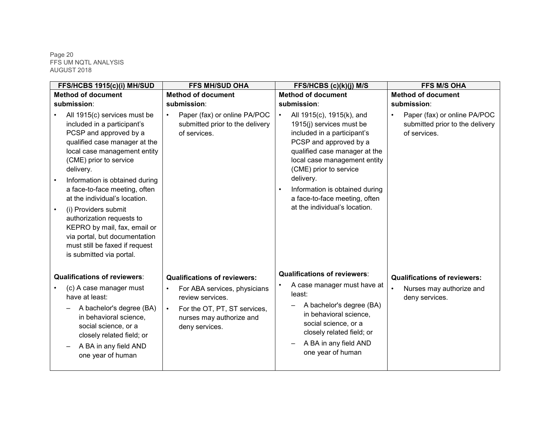#### Page 20 FFS UM NQTL ANALYSIS AUGUST 2018

| FFS/HCBS 1915(c)(i) MH/SUD                                                                                                                                                                                                                                                                                                                                                                                                                                                            | <b>FFS MH/SUD OHA</b>                                                                                                                                                                           | FFS/HCBS (c)(k)(j) M/S                                                                                                                                                                                                                                                                                                                               | <b>FFS M/S OHA</b>                                                                |
|---------------------------------------------------------------------------------------------------------------------------------------------------------------------------------------------------------------------------------------------------------------------------------------------------------------------------------------------------------------------------------------------------------------------------------------------------------------------------------------|-------------------------------------------------------------------------------------------------------------------------------------------------------------------------------------------------|------------------------------------------------------------------------------------------------------------------------------------------------------------------------------------------------------------------------------------------------------------------------------------------------------------------------------------------------------|-----------------------------------------------------------------------------------|
| <b>Method of document</b>                                                                                                                                                                                                                                                                                                                                                                                                                                                             | <b>Method of document</b>                                                                                                                                                                       | <b>Method of document</b>                                                                                                                                                                                                                                                                                                                            | <b>Method of document</b>                                                         |
| submission:                                                                                                                                                                                                                                                                                                                                                                                                                                                                           | submission:                                                                                                                                                                                     | submission:                                                                                                                                                                                                                                                                                                                                          | submission:                                                                       |
| All 1915(c) services must be<br>included in a participant's<br>PCSP and approved by a<br>qualified case manager at the<br>local case management entity<br>(CME) prior to service<br>delivery.<br>Information is obtained during<br>a face-to-face meeting, often<br>at the individual's location.<br>(i) Providers submit<br>authorization requests to<br>KEPRO by mail, fax, email or<br>via portal, but documentation<br>must still be faxed if request<br>is submitted via portal. | Paper (fax) or online PA/POC<br>$\bullet$<br>submitted prior to the delivery<br>of services.                                                                                                    | $\bullet$<br>All 1915(c), 1915(k), and<br>1915(j) services must be<br>included in a participant's<br>PCSP and approved by a<br>qualified case manager at the<br>local case management entity<br>(CME) prior to service<br>delivery.<br>Information is obtained during<br>$\bullet$<br>a face-to-face meeting, often<br>at the individual's location. | Paper (fax) or online PA/POC<br>submitted prior to the delivery<br>of services.   |
| <b>Qualifications of reviewers:</b><br>(c) A case manager must<br>have at least:<br>A bachelor's degree (BA)<br>in behavioral science,<br>social science, or a<br>closely related field; or<br>A BA in any field AND<br>one year of human                                                                                                                                                                                                                                             | <b>Qualifications of reviewers:</b><br>For ABA services, physicians<br>$\bullet$<br>review services.<br>For the OT, PT, ST services,<br>$\bullet$<br>nurses may authorize and<br>deny services. | <b>Qualifications of reviewers:</b><br>A case manager must have at<br>least:<br>A bachelor's degree (BA)<br>in behavioral science,<br>social science, or a<br>closely related field; or<br>A BA in any field AND<br>one year of human                                                                                                                | <b>Qualifications of reviewers:</b><br>Nurses may authorize and<br>deny services. |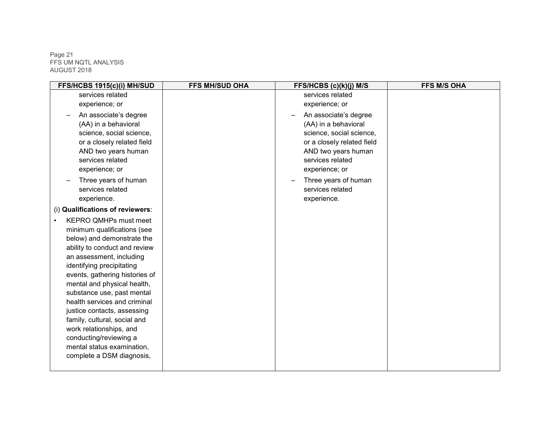Page 21 FFS UM NQTL ANALYSIS AUGUST 2018

| FFS/HCBS 1915(c)(i) MH/SUD       | <b>FFS MH/SUD OHA</b> | FFS/HCBS (c)(k)(j) M/S     | <b>FFS M/S OHA</b> |
|----------------------------------|-----------------------|----------------------------|--------------------|
| services related                 |                       | services related           |                    |
| experience; or                   |                       | experience; or             |                    |
| An associate's degree            |                       | An associate's degree      |                    |
| (AA) in a behavioral             |                       | (AA) in a behavioral       |                    |
| science, social science,         |                       | science, social science,   |                    |
| or a closely related field       |                       | or a closely related field |                    |
| AND two years human              |                       | AND two years human        |                    |
| services related                 |                       | services related           |                    |
| experience; or                   |                       | experience; or             |                    |
| Three years of human             |                       | Three years of human       |                    |
| services related                 |                       | services related           |                    |
| experience.                      |                       | experience.                |                    |
| (i) Qualifications of reviewers: |                       |                            |                    |
| <b>KEPRO QMHPs must meet</b>     |                       |                            |                    |
| minimum qualifications (see      |                       |                            |                    |
| below) and demonstrate the       |                       |                            |                    |
| ability to conduct and review    |                       |                            |                    |
| an assessment, including         |                       |                            |                    |
| identifying precipitating        |                       |                            |                    |
| events, gathering histories of   |                       |                            |                    |
| mental and physical health,      |                       |                            |                    |
| substance use, past mental       |                       |                            |                    |
| health services and criminal     |                       |                            |                    |
| justice contacts, assessing      |                       |                            |                    |
| family, cultural, social and     |                       |                            |                    |
| work relationships, and          |                       |                            |                    |
| conducting/reviewing a           |                       |                            |                    |
| mental status examination,       |                       |                            |                    |
| complete a DSM diagnosis,        |                       |                            |                    |
|                                  |                       |                            |                    |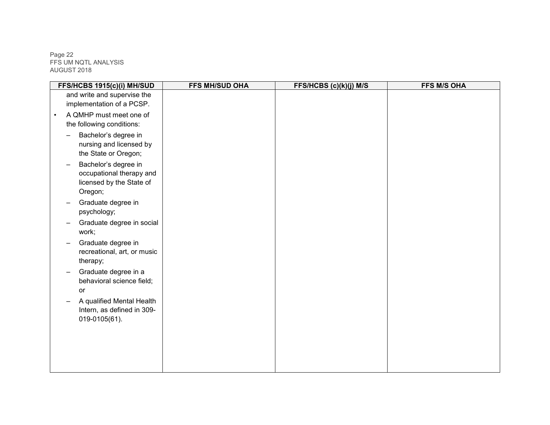Page 22 FFS UM NQTL ANALYSIS AUGUST 2018

| FFS/HCBS 1915(c)(i) MH/SUD              | <b>FFS MH/SUD OHA</b> | FFS/HCBS (c)(k)(j) M/S | <b>FFS M/S OHA</b> |
|-----------------------------------------|-----------------------|------------------------|--------------------|
| and write and supervise the             |                       |                        |                    |
| implementation of a PCSP.               |                       |                        |                    |
| A QMHP must meet one of<br>$\bullet$    |                       |                        |                    |
| the following conditions:               |                       |                        |                    |
| Bachelor's degree in                    |                       |                        |                    |
| nursing and licensed by                 |                       |                        |                    |
| the State or Oregon;                    |                       |                        |                    |
| Bachelor's degree in                    |                       |                        |                    |
| occupational therapy and                |                       |                        |                    |
| licensed by the State of                |                       |                        |                    |
| Oregon;                                 |                       |                        |                    |
| Graduate degree in                      |                       |                        |                    |
| psychology;                             |                       |                        |                    |
| Graduate degree in social<br>work;      |                       |                        |                    |
|                                         |                       |                        |                    |
| Graduate degree in                      |                       |                        |                    |
| recreational, art, or music<br>therapy; |                       |                        |                    |
| Graduate degree in a                    |                       |                        |                    |
| behavioral science field;               |                       |                        |                    |
| or                                      |                       |                        |                    |
| A qualified Mental Health               |                       |                        |                    |
| Intern, as defined in 309-              |                       |                        |                    |
| 019-0105(61).                           |                       |                        |                    |
|                                         |                       |                        |                    |
|                                         |                       |                        |                    |
|                                         |                       |                        |                    |
|                                         |                       |                        |                    |
|                                         |                       |                        |                    |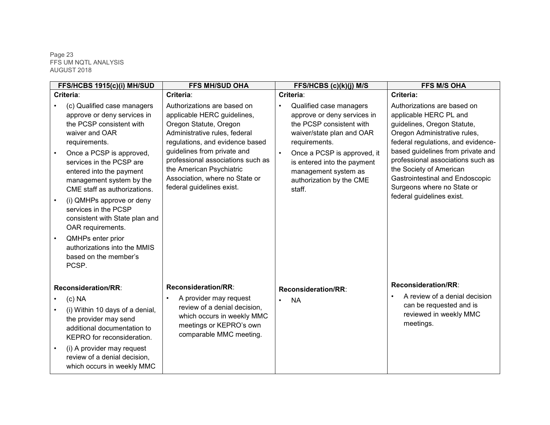#### Page 23 FFS UM NQTL ANALYSIS AUGUST 2018

|           | FFS/HCBS 1915(c)(i) MH/SUD                                                                                                                                                                                                                                                                                                                                                                                                                                                   | <b>FFS MH/SUD OHA</b>                                                                                                                                                                                                                                                                                                   | FFS/HCBS (c)(k)(j) M/S                                                                                                                                                                                                                                                    | <b>FFS M/S OHA</b>                                                                                                                                                                                                                                                                                                                                            |
|-----------|------------------------------------------------------------------------------------------------------------------------------------------------------------------------------------------------------------------------------------------------------------------------------------------------------------------------------------------------------------------------------------------------------------------------------------------------------------------------------|-------------------------------------------------------------------------------------------------------------------------------------------------------------------------------------------------------------------------------------------------------------------------------------------------------------------------|---------------------------------------------------------------------------------------------------------------------------------------------------------------------------------------------------------------------------------------------------------------------------|---------------------------------------------------------------------------------------------------------------------------------------------------------------------------------------------------------------------------------------------------------------------------------------------------------------------------------------------------------------|
|           | Criteria:                                                                                                                                                                                                                                                                                                                                                                                                                                                                    | Criteria:                                                                                                                                                                                                                                                                                                               | Criteria:                                                                                                                                                                                                                                                                 | Criteria:                                                                                                                                                                                                                                                                                                                                                     |
|           | (c) Qualified case managers<br>approve or deny services in<br>the PCSP consistent with<br>waiver and OAR<br>requirements.<br>Once a PCSP is approved,<br>services in the PCSP are<br>entered into the payment<br>management system by the<br>CME staff as authorizations.<br>(i) QMHPs approve or deny<br>services in the PCSP<br>consistent with State plan and<br>OAR requirements.<br>QMHPs enter prior<br>authorizations into the MMIS<br>based on the member's<br>PCSP. | Authorizations are based on<br>applicable HERC guidelines,<br>Oregon Statute, Oregon<br>Administrative rules, federal<br>regulations, and evidence based<br>guidelines from private and<br>professional associations such as<br>the American Psychiatric<br>Association, where no State or<br>federal guidelines exist. | Qualified case managers<br>approve or deny services in<br>the PCSP consistent with<br>waiver/state plan and OAR<br>requirements.<br>Once a PCSP is approved, it<br>$\bullet$<br>is entered into the payment<br>management system as<br>authorization by the CME<br>staff. | Authorizations are based on<br>applicable HERC PL and<br>guidelines, Oregon Statute,<br>Oregon Administrative rules,<br>federal regulations, and evidence-<br>based guidelines from private and<br>professional associations such as<br>the Society of American<br>Gastrointestinal and Endoscopic<br>Surgeons where no State or<br>federal guidelines exist. |
|           | Reconsideration/RR:                                                                                                                                                                                                                                                                                                                                                                                                                                                          | <b>Reconsideration/RR:</b>                                                                                                                                                                                                                                                                                              | Reconsideration/RR:                                                                                                                                                                                                                                                       | <b>Reconsideration/RR:</b>                                                                                                                                                                                                                                                                                                                                    |
| $\bullet$ | (c) <b>NA</b><br>(i) Within 10 days of a denial,<br>the provider may send<br>additional documentation to<br>KEPRO for reconsideration.<br>(i) A provider may request<br>review of a denial decision,<br>which occurs in weekly MMC                                                                                                                                                                                                                                           | A provider may request<br>$\bullet$<br>review of a denial decision,<br>which occurs in weekly MMC<br>meetings or KEPRO's own<br>comparable MMC meeting.                                                                                                                                                                 | <b>NA</b>                                                                                                                                                                                                                                                                 | A review of a denial decision<br>can be requested and is<br>reviewed in weekly MMC<br>meetings.                                                                                                                                                                                                                                                               |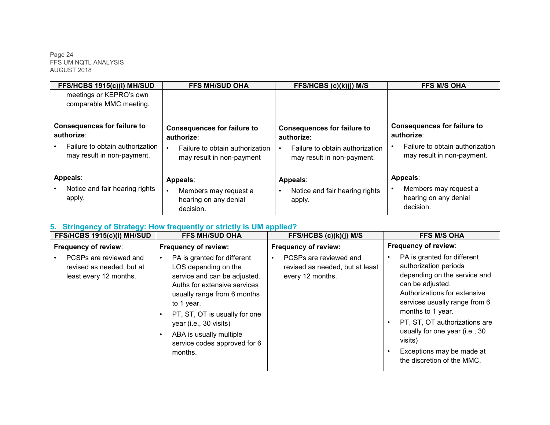Page 24 FFS UM NQTL ANALYSIS AUGUST 2018

| FFS/HCBS 1915(c)(i) MH/SUD                                    | <b>FFS MH/SUD OHA</b>                                                   | FFS/HCBS (c)(k)(j) M/S                                                     | <b>FFS M/S OHA</b>                                                      |
|---------------------------------------------------------------|-------------------------------------------------------------------------|----------------------------------------------------------------------------|-------------------------------------------------------------------------|
| meetings or KEPRO's own<br>comparable MMC meeting.            |                                                                         |                                                                            |                                                                         |
| <b>Consequences for failure to</b><br>authorize:              | <b>Consequences for failure to</b><br>authorize:                        | <b>Consequences for failure to</b><br>authorize:                           | <b>Consequences for failure to</b><br>authorize:                        |
| Failure to obtain authorization<br>may result in non-payment. | Failure to obtain authorization<br>may result in non-payment            | Failure to obtain authorization<br>$\bullet$<br>may result in non-payment. | Failure to obtain authorization<br>may result in non-payment.           |
| Appeals:<br>Notice and fair hearing rights<br>apply.          | Appeals:<br>Members may request a<br>hearing on any denial<br>decision. | Appeals:<br>Notice and fair hearing rights<br>$\bullet$<br>apply.          | Appeals:<br>Members may request a<br>hearing on any denial<br>decision. |

# **5. Stringency of Strategy: How frequently or strictly is UM applied?**

| FFS/HCBS 1915(c)(i) MH/SUD                                                    | <b>FFS MH/SUD OHA</b>                                                                                                                                                                                                                                                                                                       | FFS/HCBS (c)(k)(j) M/S                                                        | <b>FFS M/S OHA</b>                                                                                                                                                                                                                                                                                                                                   |
|-------------------------------------------------------------------------------|-----------------------------------------------------------------------------------------------------------------------------------------------------------------------------------------------------------------------------------------------------------------------------------------------------------------------------|-------------------------------------------------------------------------------|------------------------------------------------------------------------------------------------------------------------------------------------------------------------------------------------------------------------------------------------------------------------------------------------------------------------------------------------------|
| Frequency of review:                                                          | Frequency of review:                                                                                                                                                                                                                                                                                                        | Frequency of review:                                                          | Frequency of review:                                                                                                                                                                                                                                                                                                                                 |
| PCSPs are reviewed and<br>revised as needed, but at<br>least every 12 months. | PA is granted for different<br>LOS depending on the<br>service and can be adjusted.<br>Auths for extensive services<br>usually range from 6 months<br>to 1 year.<br>PT, ST, OT is usually for one<br>$\bullet$<br>year (i.e., 30 visits)<br>ABA is usually multiple<br>$\bullet$<br>service codes approved for 6<br>months. | PCSPs are reviewed and<br>revised as needed, but at least<br>every 12 months. | PA is granted for different<br>$\bullet$<br>authorization periods<br>depending on the service and<br>can be adjusted.<br>Authorizations for extensive<br>services usually range from 6<br>months to 1 year.<br>PT, ST, OT authorizations are<br>usually for one year (i.e., 30<br>visits)<br>Exceptions may be made at<br>the discretion of the MMC, |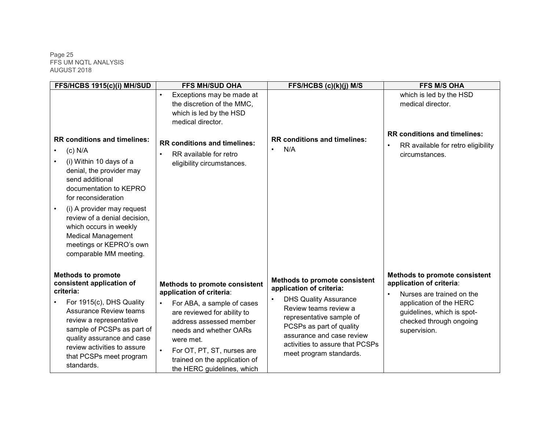Page 25 FFS UM NQTL ANALYSIS AUGUST 2018

| FFS/HCBS 1915(c)(i) MH/SUD                                                                                                                                                                                                                                                                                                                            | <b>FFS MH/SUD OHA</b>                                                                                                                                                                                                                                                                                                  | FFS/HCBS (c)(k)(j) M/S                                                                                                                                                                                                                                                       | <b>FFS M/S OHA</b>                                                                                                                                                                                             |
|-------------------------------------------------------------------------------------------------------------------------------------------------------------------------------------------------------------------------------------------------------------------------------------------------------------------------------------------------------|------------------------------------------------------------------------------------------------------------------------------------------------------------------------------------------------------------------------------------------------------------------------------------------------------------------------|------------------------------------------------------------------------------------------------------------------------------------------------------------------------------------------------------------------------------------------------------------------------------|----------------------------------------------------------------------------------------------------------------------------------------------------------------------------------------------------------------|
|                                                                                                                                                                                                                                                                                                                                                       | Exceptions may be made at<br>$\bullet$<br>the discretion of the MMC,<br>which is led by the HSD<br>medical director.                                                                                                                                                                                                   |                                                                                                                                                                                                                                                                              | which is led by the HSD<br>medical director.                                                                                                                                                                   |
| <b>RR conditions and timelines:</b><br>$(c)$ N/A<br>(i) Within 10 days of a<br>denial, the provider may<br>send additional<br>documentation to KEPRO<br>for reconsideration<br>(i) A provider may request<br>review of a denial decision,<br>which occurs in weekly<br><b>Medical Management</b><br>meetings or KEPRO's own<br>comparable MM meeting. | <b>RR conditions and timelines:</b><br>RR available for retro<br>$\bullet$<br>eligibility circumstances.                                                                                                                                                                                                               | <b>RR conditions and timelines:</b><br>N/A<br>$\bullet$                                                                                                                                                                                                                      | <b>RR conditions and timelines:</b><br>RR available for retro eligibility<br>$\bullet$<br>circumstances.                                                                                                       |
| <b>Methods to promote</b><br>consistent application of<br>criteria:<br>For 1915(c), DHS Quality<br><b>Assurance Review teams</b><br>review a representative<br>sample of PCSPs as part of<br>quality assurance and case<br>review activities to assure<br>that PCSPs meet program<br>standards.                                                       | <b>Methods to promote consistent</b><br>application of criteria:<br>For ABA, a sample of cases<br>$\bullet$<br>are reviewed for ability to<br>address assessed member<br>needs and whether OARs<br>were met.<br>For OT, PT, ST, nurses are<br>$\bullet$<br>trained on the application of<br>the HERC guidelines, which | <b>Methods to promote consistent</b><br>application of criteria:<br><b>DHS Quality Assurance</b><br>Review teams review a<br>representative sample of<br>PCSPs as part of quality<br>assurance and case review<br>activities to assure that PCSPs<br>meet program standards. | <b>Methods to promote consistent</b><br>application of criteria:<br>Nurses are trained on the<br>$\bullet$<br>application of the HERC<br>guidelines, which is spot-<br>checked through ongoing<br>supervision. |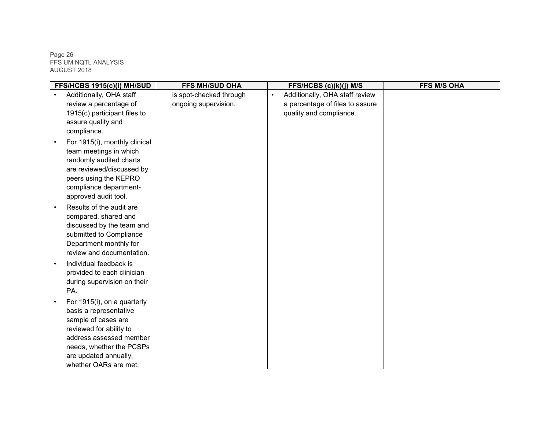Page 26 FFS UM NQTL ANALYSIS AUGUST 2018

|           | FFS/HCBS 1915(c)(i) MH/SUD    | <b>FFS MH/SUD OHA</b>   | FFS/HCBS (c)(k)(j) M/S                      | <b>FFS M/S OHA</b> |
|-----------|-------------------------------|-------------------------|---------------------------------------------|--------------------|
| $\bullet$ | Additionally, OHA staff       | is spot-checked through | Additionally, OHA staff review<br>$\bullet$ |                    |
|           | review a percentage of        | ongoing supervision.    | a percentage of files to assure             |                    |
|           | 1915(c) participant files to  |                         | quality and compliance.                     |                    |
|           | assure quality and            |                         |                                             |                    |
|           | compliance.                   |                         |                                             |                    |
|           | For 1915(i), monthly clinical |                         |                                             |                    |
|           | team meetings in which        |                         |                                             |                    |
|           | randomly audited charts       |                         |                                             |                    |
|           | are reviewed/discussed by     |                         |                                             |                    |
|           | peers using the KEPRO         |                         |                                             |                    |
|           | compliance department-        |                         |                                             |                    |
|           | approved audit tool.          |                         |                                             |                    |
|           | Results of the audit are      |                         |                                             |                    |
|           | compared, shared and          |                         |                                             |                    |
|           | discussed by the team and     |                         |                                             |                    |
|           | submitted to Compliance       |                         |                                             |                    |
|           | Department monthly for        |                         |                                             |                    |
|           | review and documentation.     |                         |                                             |                    |
|           | Individual feedback is        |                         |                                             |                    |
|           | provided to each clinician    |                         |                                             |                    |
|           | during supervision on their   |                         |                                             |                    |
|           | PA.                           |                         |                                             |                    |
|           | For 1915(i), on a quarterly   |                         |                                             |                    |
|           | basis a representative        |                         |                                             |                    |
|           | sample of cases are           |                         |                                             |                    |
|           | reviewed for ability to       |                         |                                             |                    |
|           | address assessed member       |                         |                                             |                    |
|           | needs, whether the PCSPs      |                         |                                             |                    |
|           | are updated annually,         |                         |                                             |                    |
|           | whether OARs are met,         |                         |                                             |                    |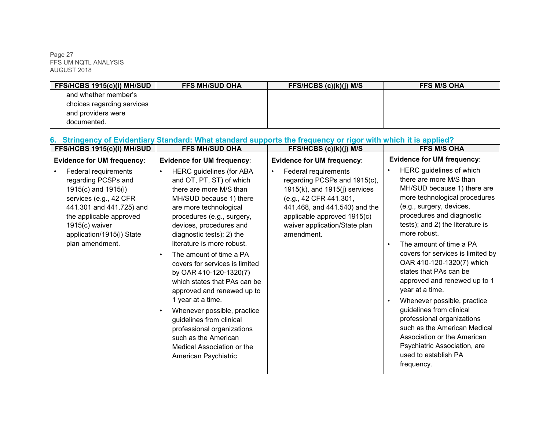Page 27 FFS UM NQTL ANALYSIS AUGUST 2018

| <b>FFS/HCBS 1915(c)(i) MH/SUD</b> | <b>FFS MH/SUD OHA</b> | FFS/HCBS $(c)(k)(j)$ M/S | <b>FFS M/S OHA</b> |
|-----------------------------------|-----------------------|--------------------------|--------------------|
| and whether member's              |                       |                          |                    |
| choices regarding services        |                       |                          |                    |
| and providers were                |                       |                          |                    |
| documented.                       |                       |                          |                    |

# **6. Stringency of Evidentiary Standard: What standard supports the frequency or rigor with which it is applied?**

| <b>FFS/HCBS 1915(c)(i) MH/SUD</b>                                                                                                                                                                                       | <b>FFS MH/SUD OHA</b>                                                                                                                                                                                                                                                                                                                                                                                                                                                                                                                                                                                                                                   | FFS/HCBS (c)(k)(j) M/S                                                                                                                                                                                                              | <b>FFS M/S OHA</b>                                                                                                                                                                                                                                                                                                                                                                                                                                                                                                                                                                                                                                                              |
|-------------------------------------------------------------------------------------------------------------------------------------------------------------------------------------------------------------------------|---------------------------------------------------------------------------------------------------------------------------------------------------------------------------------------------------------------------------------------------------------------------------------------------------------------------------------------------------------------------------------------------------------------------------------------------------------------------------------------------------------------------------------------------------------------------------------------------------------------------------------------------------------|-------------------------------------------------------------------------------------------------------------------------------------------------------------------------------------------------------------------------------------|---------------------------------------------------------------------------------------------------------------------------------------------------------------------------------------------------------------------------------------------------------------------------------------------------------------------------------------------------------------------------------------------------------------------------------------------------------------------------------------------------------------------------------------------------------------------------------------------------------------------------------------------------------------------------------|
| <b>Evidence for UM frequency:</b>                                                                                                                                                                                       | <b>Evidence for UM frequency:</b>                                                                                                                                                                                                                                                                                                                                                                                                                                                                                                                                                                                                                       | <b>Evidence for UM frequency:</b>                                                                                                                                                                                                   | <b>Evidence for UM frequency:</b>                                                                                                                                                                                                                                                                                                                                                                                                                                                                                                                                                                                                                                               |
| Federal requirements<br>regarding PCSPs and<br>1915(c) and 1915(i)<br>services (e.g., 42 CFR<br>441.301 and 441.725) and<br>the applicable approved<br>$1915(c)$ waiver<br>application/1915(i) State<br>plan amendment. | <b>HERC</b> guidelines (for ABA<br>$\bullet$<br>and OT, PT, ST) of which<br>there are more M/S than<br>MH/SUD because 1) there<br>are more technological<br>procedures (e.g., surgery,<br>devices, procedures and<br>diagnostic tests); 2) the<br>literature is more robust.<br>The amount of time a PA<br>$\bullet$<br>covers for services is limited<br>by OAR 410-120-1320(7)<br>which states that PAs can be<br>approved and renewed up to<br>1 year at a time.<br>Whenever possible, practice<br>$\bullet$<br>guidelines from clinical<br>professional organizations<br>such as the American<br>Medical Association or the<br>American Psychiatric | Federal requirements<br>regarding PCSPs and 1915(c),<br>$1915(k)$ , and $1915(j)$ services<br>(e.g., 42 CFR 441.301,<br>441.468, and 441.540) and the<br>applicable approved 1915(c)<br>waiver application/State plan<br>amendment. | HERC guidelines of which<br>$\bullet$<br>there are more M/S than<br>MH/SUD because 1) there are<br>more technological procedures<br>(e.g., surgery, devices,<br>procedures and diagnostic<br>tests); and 2) the literature is<br>more robust.<br>The amount of time a PA<br>$\bullet$<br>covers for services is limited by<br>OAR 410-120-1320(7) which<br>states that PAs can be<br>approved and renewed up to 1<br>year at a time.<br>Whenever possible, practice<br>$\bullet$<br>guidelines from clinical<br>professional organizations<br>such as the American Medical<br>Association or the American<br>Psychiatric Association, are<br>used to establish PA<br>frequency. |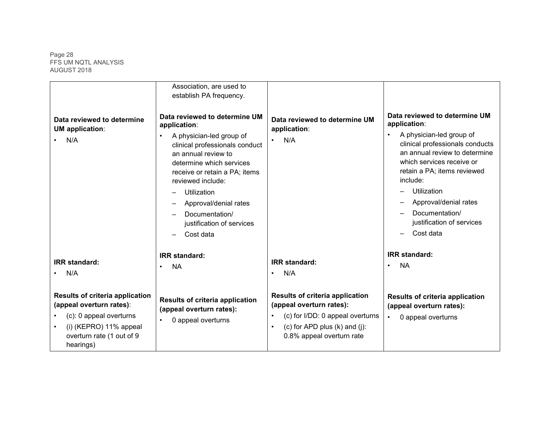Page 28 FFS UM NQTL ANALYSIS AUGUST 2018

| Data reviewed to determine<br><b>UM</b> application:<br>N/A                                                                                                         | Association, are used to<br>establish PA frequency.<br>Data reviewed to determine UM<br>application:<br>A physician-led group of<br>$\bullet$<br>clinical professionals conduct<br>an annual review to<br>determine which services<br>receive or retain a PA; items<br>reviewed include:<br>Utilization<br>Approval/denial rates<br>Documentation/<br>justification of services<br>Cost data | Data reviewed to determine UM<br>application:<br>N/A<br>$\bullet$                                                                                                         | Data reviewed to determine UM<br>application:<br>A physician-led group of<br>$\bullet$<br>clinical professionals conducts<br>an annual review to determine<br>which services receive or<br>retain a PA; items reviewed<br>include:<br>Utilization<br>Approval/denial rates<br>Documentation/<br>justification of services<br>Cost data |
|---------------------------------------------------------------------------------------------------------------------------------------------------------------------|----------------------------------------------------------------------------------------------------------------------------------------------------------------------------------------------------------------------------------------------------------------------------------------------------------------------------------------------------------------------------------------------|---------------------------------------------------------------------------------------------------------------------------------------------------------------------------|----------------------------------------------------------------------------------------------------------------------------------------------------------------------------------------------------------------------------------------------------------------------------------------------------------------------------------------|
| <b>IRR</b> standard:<br>N/A                                                                                                                                         | <b>IRR</b> standard:<br><b>NA</b><br>$\bullet$                                                                                                                                                                                                                                                                                                                                               | <b>IRR</b> standard:<br>N/A<br>$\bullet$                                                                                                                                  | <b>IRR</b> standard:<br><b>NA</b><br>$\bullet$                                                                                                                                                                                                                                                                                         |
| <b>Results of criteria application</b><br>(appeal overturn rates):<br>(c): 0 appeal overturns<br>$(i)$ (KEPRO) 11% appeal<br>overturn rate (1 out of 9<br>hearings) | <b>Results of criteria application</b><br>(appeal overturn rates):<br>0 appeal overturns<br>$\bullet$                                                                                                                                                                                                                                                                                        | <b>Results of criteria application</b><br>(appeal overturn rates):<br>(c) for I/DD: 0 appeal overturns<br>(c) for APD plus $(k)$ and $(j)$ :<br>0.8% appeal overturn rate | <b>Results of criteria application</b><br>(appeal overturn rates):<br>0 appeal overturns<br>$\bullet$                                                                                                                                                                                                                                  |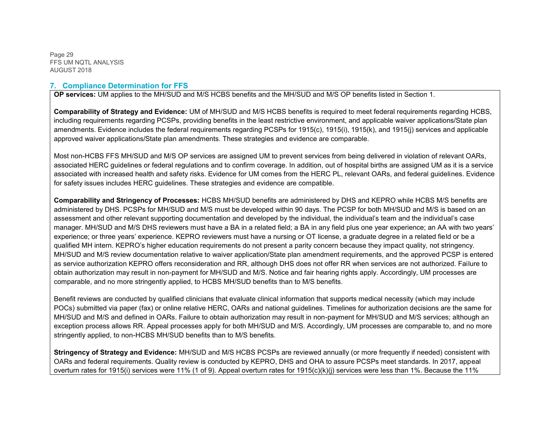Page 29 FFS UM NQTL ANALYSIS AUGUST 2018

#### **7. Compliance Determination for FFS**

**OP services:** UM applies to the MH/SUD and M/S HCBS benefits and the MH/SUD and M/S OP benefits listed in Section 1.

**Comparability of Strategy and Evidence:** UM of MH/SUD and M/S HCBS benefits is required to meet federal requirements regarding HCBS, including requirements regarding PCSPs, providing benefits in the least restrictive environment, and applicable waiver applications/State plan amendments. Evidence includes the federal requirements regarding PCSPs for 1915(c), 1915(i), 1915(k), and 1915(j) services and applicable approved waiver applications/State plan amendments. These strategies and evidence are comparable.

Most non-HCBS FFS MH/SUD and M/S OP services are assigned UM to prevent services from being delivered in violation of relevant OARs, associated HERC guidelines or federal regulations and to confirm coverage. In addition, out of hospital births are assigned UM as it is a service associated with increased health and safety risks. Evidence for UM comes from the HERC PL, relevant OARs, and federal guidelines. Evidence for safety issues includes HERC guidelines. These strategies and evidence are compatible.

**Comparability and Stringency of Processes:** HCBS MH/SUD benefits are administered by DHS and KEPRO while HCBS M/S benefits are administered by DHS. PCSPs for MH/SUD and M/S must be developed within 90 days. The PCSP for both MH/SUD and M/S is based on an assessment and other relevant supporting documentation and developed by the individual, the individual's team and the individual's case manager. MH/SUD and M/S DHS reviewers must have a BA in a related field; a BA in any field plus one year experience; an AA with two years' experience; or three years' experience. KEPRO reviewers must have a nursing or OT license, a graduate degree in a related field or be a qualified MH intern. KEPRO's higher education requirements do not present a parity concern because they impact quality, not stringency. MH/SUD and M/S review documentation relative to waiver application/State plan amendment requirements, and the approved PCSP is entered as service authorization KEPRO offers reconsideration and RR, although DHS does not offer RR when services are not authorized. Failure to obtain authorization may result in non-payment for MH/SUD and M/S. Notice and fair hearing rights apply. Accordingly, UM processes are comparable, and no more stringently applied, to HCBS MH/SUD benefits than to M/S benefits.

Benefit reviews are conducted by qualified clinicians that evaluate clinical information that supports medical necessity (which may include POCs) submitted via paper (fax) or online relative HERC, OARs and national guidelines. Timelines for authorization decisions are the same for MH/SUD and M/S and defined in OARs. Failure to obtain authorization may result in non-payment for MH/SUD and M/S services; although an exception process allows RR. Appeal processes apply for both MH/SUD and M/S. Accordingly, UM processes are comparable to, and no more stringently applied, to non-HCBS MH/SUD benefits than to M/S benefits.

**Stringency of Strategy and Evidence:** MH/SUD and M/S HCBS PCSPs are reviewed annually (or more frequently if needed) consistent with OARs and federal requirements. Quality review is conducted by KEPRO, DHS and OHA to assure PCSPs meet standards. In 2017, appeal overturn rates for 1915(i) services were 11% (1 of 9). Appeal overturn rates for 1915(c)(k)(j) services were less than 1%. Because the 11%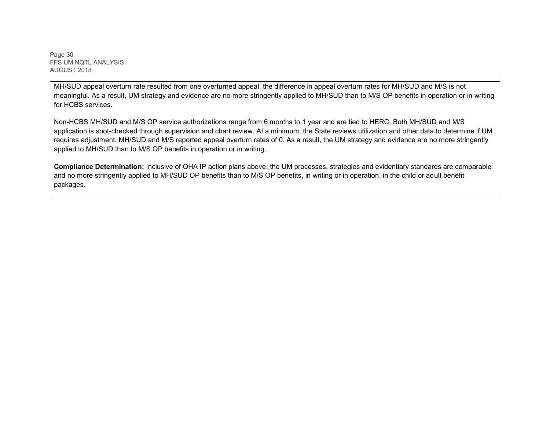Page 30 FFS UM NQTL ANALYSIS AUGUST 2018

MH/SUD appeal overturn rate resulted from one overturned appeal, the difference in appeal overturn rates for MH/SUD and M/S is not meaningful. As a result, UM strategy and evidence are no more stringently applied to MH/SUD than to M/S OP benefits in operation or in writing for HCBS services.

Non-HCBS MH/SUD and M/S OP service authorizations range from 6 months to 1 year and are tied to HERC. Both MH/SUD and M/S application is spot-checked through supervision and chart review. At a minimum, the State reviews utilization and other data to determine if UM requires adjustment. MH/SUD and M/S reported appeal overturn rates of 0. As a result, the UM strategy and evidence are no more stringently applied to MH/SUD than to M/S OP benefits in operation or in writing.

**Compliance Determination:** Inclusive of OHA IP action plans above, the UM processes, strategies and evidentiary standards are comparable and no more stringently applied to MH/SUD OP benefits than to M/S OP benefits, in writing or in operation, in the child or adult benefit packages.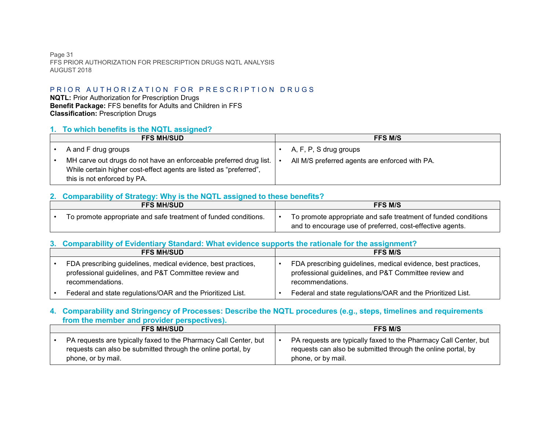Page 31 FFS PRIOR AUTHORIZATION FOR PRESCRIPTION DRUGS NQTL ANALYSIS AUGUST 2018

# PRIOR AUTHORIZATION FOR PRESCRIPTION DRUGS

**NQTL:** Prior Authorization for Prescription Drugs **Benefit Package:** FFS benefits for Adults and Children in FFS **Classification:** Prescription Drugs

#### **1. To which benefits is the NQTL assigned?**

| <b>FFS MH/SUD</b>                                                  | <b>FFS M/S</b>                                 |
|--------------------------------------------------------------------|------------------------------------------------|
| A and F drug groups                                                | A, F, P, S drug groups                         |
| MH carve out drugs do not have an enforceable preferred drug list. | All M/S preferred agents are enforced with PA. |
| While certain higher cost-effect agents are listed as "preferred", |                                                |
| this is not enforced by PA.                                        |                                                |

# **2. Comparability of Strategy: Why is the NQTL assigned to these benefits?**

| <b>FFS MH/SUD</b>                                               |  | <b>FFS M/S</b>                                                                                                              |  |
|-----------------------------------------------------------------|--|-----------------------------------------------------------------------------------------------------------------------------|--|
| To promote appropriate and safe treatment of funded conditions. |  | To promote appropriate and safe treatment of funded conditions<br>and to encourage use of preferred, cost-effective agents. |  |

#### **3. Comparability of Evidentiary Standard: What evidence supports the rationale for the assignment?**

| <b>FFS MH/SUD</b>                                                                                                                          | <b>FFS M/S</b>                                                                                                                             |
|--------------------------------------------------------------------------------------------------------------------------------------------|--------------------------------------------------------------------------------------------------------------------------------------------|
| FDA prescribing guidelines, medical evidence, best practices,<br>professional guidelines, and P&T Committee review and<br>recommendations. | FDA prescribing guidelines, medical evidence, best practices,<br>professional guidelines, and P&T Committee review and<br>recommendations. |
| Federal and state regulations/OAR and the Prioritized List.                                                                                | Federal and state regulations/OAR and the Prioritized List.                                                                                |

#### **4. Comparability and Stringency of Processes: Describe the NQTL procedures (e.g., steps, timelines and requirements from the member and provider perspectives).**

| <b>FFS MH/SUD</b>                                                | <b>FFS M/S</b>                                                   |
|------------------------------------------------------------------|------------------------------------------------------------------|
| PA requests are typically faxed to the Pharmacy Call Center, but | PA requests are typically faxed to the Pharmacy Call Center, but |
| requests can also be submitted through the online portal, by     | requests can also be submitted through the online portal, by     |
| phone, or by mail.                                               | phone, or by mail.                                               |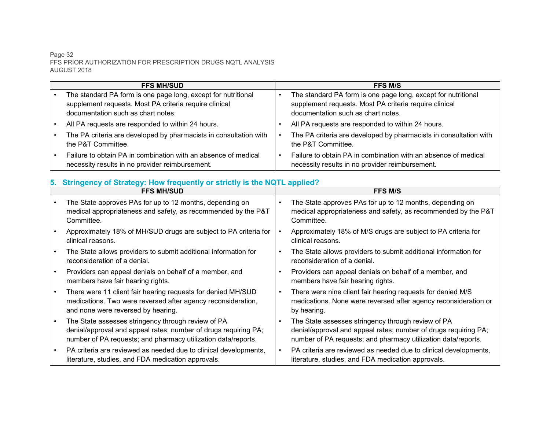#### Page 32 FFS PRIOR AUTHORIZATION FOR PRESCRIPTION DRUGS NQTL ANALYSIS AUGUST 2018

| <b>FFS MH/SUD</b>                                                                                                 | <b>FFS M/S</b>                                                                                                    |
|-------------------------------------------------------------------------------------------------------------------|-------------------------------------------------------------------------------------------------------------------|
| The standard PA form is one page long, except for nutritional                                                     | The standard PA form is one page long, except for nutritional                                                     |
| supplement requests. Most PA criteria require clinical                                                            | supplement requests. Most PA criteria require clinical                                                            |
| documentation such as chart notes.                                                                                | documentation such as chart notes.                                                                                |
| All PA requests are responded to within 24 hours.                                                                 | All PA requests are responded to within 24 hours.                                                                 |
| The PA criteria are developed by pharmacists in consultation with<br>the P&T Committee.                           | The PA criteria are developed by pharmacists in consultation with<br>the P&T Committee.                           |
| Failure to obtain PA in combination with an absence of medical<br>necessity results in no provider reimbursement. | Failure to obtain PA in combination with an absence of medical<br>necessity results in no provider reimbursement. |

# **5. Stringency of Strategy: How frequently or strictly is the NQTL applied?**

| <b>FFS MH/SUD</b>                                                                                                                                                                      |           | <b>FFS M/S</b>                                                                                                                                                                         |
|----------------------------------------------------------------------------------------------------------------------------------------------------------------------------------------|-----------|----------------------------------------------------------------------------------------------------------------------------------------------------------------------------------------|
| The State approves PAs for up to 12 months, depending on<br>medical appropriateness and safety, as recommended by the P&T<br>Committee.                                                | $\bullet$ | The State approves PAs for up to 12 months, depending on<br>medical appropriateness and safety, as recommended by the P&T<br>Committee.                                                |
| Approximately 18% of MH/SUD drugs are subject to PA criteria for<br>clinical reasons.                                                                                                  |           | Approximately 18% of M/S drugs are subject to PA criteria for<br>clinical reasons.                                                                                                     |
| The State allows providers to submit additional information for<br>reconsideration of a denial.                                                                                        |           | The State allows providers to submit additional information for<br>reconsideration of a denial.                                                                                        |
| Providers can appeal denials on behalf of a member, and<br>members have fair hearing rights.                                                                                           | $\bullet$ | Providers can appeal denials on behalf of a member, and<br>members have fair hearing rights.                                                                                           |
| There were 11 client fair hearing requests for denied MH/SUD<br>medications. Two were reversed after agency reconsideration,<br>and none were reversed by hearing.                     | $\bullet$ | There were nine client fair hearing requests for denied M/S<br>medications. None were reversed after agency reconsideration or<br>by hearing.                                          |
| The State assesses stringency through review of PA<br>denial/approval and appeal rates; number of drugs requiring PA;<br>number of PA requests; and pharmacy utilization data/reports. |           | The State assesses stringency through review of PA<br>denial/approval and appeal rates; number of drugs requiring PA;<br>number of PA requests; and pharmacy utilization data/reports. |
| PA criteria are reviewed as needed due to clinical developments,<br>literature, studies, and FDA medication approvals.                                                                 | $\bullet$ | PA criteria are reviewed as needed due to clinical developments,<br>literature, studies, and FDA medication approvals.                                                                 |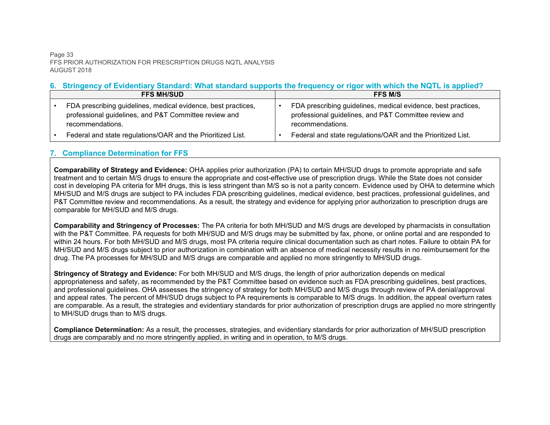#### Page 33 FFS PRIOR AUTHORIZATION FOR PRESCRIPTION DRUGS NQTL ANALYSIS AUGUST 2018

## **6. Stringency of Evidentiary Standard: What standard supports the frequency or rigor with which the NQTL is applied?**

| <b>FFS MH/SUD</b>                                                                                                                          |  | <b>FFS M/S</b>                                                                                                                             |  |
|--------------------------------------------------------------------------------------------------------------------------------------------|--|--------------------------------------------------------------------------------------------------------------------------------------------|--|
| FDA prescribing guidelines, medical evidence, best practices,<br>professional guidelines, and P&T Committee review and<br>recommendations. |  | FDA prescribing guidelines, medical evidence, best practices,<br>professional guidelines, and P&T Committee review and<br>recommendations. |  |
| Federal and state regulations/OAR and the Prioritized List.                                                                                |  | Federal and state regulations/OAR and the Prioritized List.                                                                                |  |

#### **7. Compliance Determination for FFS**

**Comparability of Strategy and Evidence:** OHA applies prior authorization (PA) to certain MH/SUD drugs to promote appropriate and safe treatment and to certain M/S drugs to ensure the appropriate and cost-effective use of prescription drugs. While the State does not consider cost in developing PA criteria for MH drugs, this is less stringent than M/S so is not a parity concern. Evidence used by OHA to determine which MH/SUD and M/S drugs are subject to PA includes FDA prescribing guidelines, medical evidence, best practices, professional guidelines, and P&T Committee review and recommendations. As a result, the strategy and evidence for applying prior authorization to prescription drugs are comparable for MH/SUD and M/S drugs.

**Comparability and Stringency of Processes:** The PA criteria for both MH/SUD and M/S drugs are developed by pharmacists in consultation with the P&T Committee. PA requests for both MH/SUD and M/S drugs may be submitted by fax, phone, or online portal and are responded to within 24 hours. For both MH/SUD and M/S drugs, most PA criteria require clinical documentation such as chart notes. Failure to obtain PA for MH/SUD and M/S drugs subject to prior authorization in combination with an absence of medical necessity results in no reimbursement for the drug. The PA processes for MH/SUD and M/S drugs are comparable and applied no more stringently to MH/SUD drugs.

**Stringency of Strategy and Evidence:** For both MH/SUD and M/S drugs, the length of prior authorization depends on medical appropriateness and safety, as recommended by the P&T Committee based on evidence such as FDA prescribing guidelines, best practices, and professional guidelines. OHA assesses the stringency of strategy for both MH/SUD and M/S drugs through review of PA denial/approval and appeal rates. The percent of MH/SUD drugs subject to PA requirements is comparable to M/S drugs. In addition, the appeal overturn rates are comparable. As a result, the strategies and evidentiary standards for prior authorization of prescription drugs are applied no more stringently to MH/SUD drugs than to M/S drugs.

**Compliance Determination:** As a result, the processes, strategies, and evidentiary standards for prior authorization of MH/SUD prescription drugs are comparably and no more stringently applied, in writing and in operation, to M/S drugs.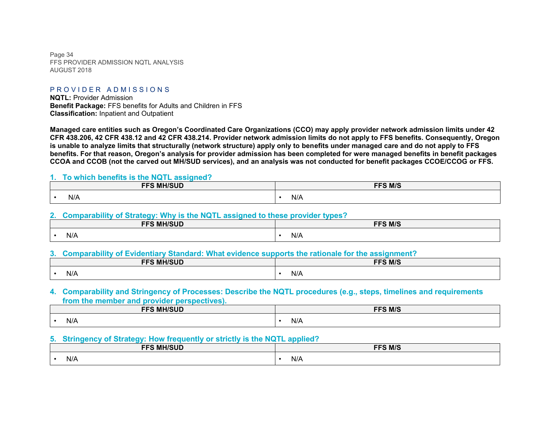Page 34 FFS PROVIDER ADMISSION NOTL ANALYSIS AUGUST 2018

#### PROVIDER ADMISSIONS

**NQTL:** Provider Admission **Benefit Package:** FFS benefits for Adults and Children in FFS **Classification:** Inpatient and Outpatient

**Managed care entities such as Oregon's Coordinated Care Organizations (CCO) may apply provider network admission limits under 42 CFR 438.206, 42 CFR 438.12 and 42 CFR 438.214. Provider network admission limits do not apply to FFS benefits. Consequently, Oregon is unable to analyze limits that structurally (network structure) apply only to benefits under managed care and do not apply to FFS benefits. For that reason, Oregon's analysis for provider admission has been completed for were managed benefits in benefit packages CCOA and CCOB (not the carved out MH/SUD services), and an analysis was not conducted for benefit packages CCOE/CCOG or FFS.**

#### **1. To which benefits is the NQTL assigned?**

| <b>EES MU/SUD</b><br>∍טר<br>. | <b>FFS M/S</b> |
|-------------------------------|----------------|
| N/A                           | N/A            |

#### **2. Comparability of Strategy: Why is the NQTL assigned to these provider types?**

| <b>FFS MH/SUD</b> | <b>FFS M/S</b> |
|-------------------|----------------|
| N/A               | N/A            |

#### **3. Comparability of Evidentiary Standard: What evidence supports the rationale for the assignment?**

| <b>EEG MU/CHD</b><br>. IVII 1 | FFS M/S                   |
|-------------------------------|---------------------------|
| N/A                           | $\mathbf{A}$ .<br>$N/r$ . |

#### **4. Comparability and Stringency of Processes: Describe the NQTL procedures (e.g., steps, timelines and requirements from the member and provider perspectives).**

| <b>EEC MU/CIIN</b><br>— r. <i>n</i><br>∟טטיד | <b>FFS M/S</b> |
|----------------------------------------------|----------------|
| N/A                                          | N/A            |

#### **5. Stringency of Strategy: How frequently or strictly is the NQTL applied?**

| <b>EES MU/SUD</b><br>∟טר | FFS M/S                                                |
|--------------------------|--------------------------------------------------------|
| N/A                      | $\mathbf{A}$<br>N/A<br>the contract of the contract of |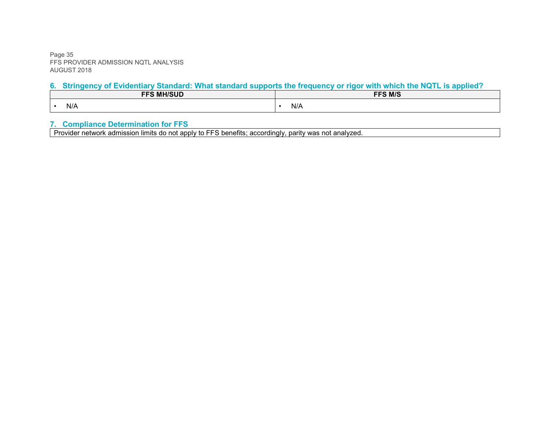Page 35 FFS PROVIDER ADMISSION NQTL ANALYSIS AUGUST 2018

# **6. Stringency of Evidentiary Standard: What standard supports the frequency or rigor with which the NQTL is applied?**

| <b>EEG MU/CLID</b><br>- 67 | FFS M/S |
|----------------------------|---------|
| N/A                        | N/A     |

#### **7. Compliance Determination for FFS**

Provider network admission limits do not apply to FFS benefits; accordingly, parity was not analyzed.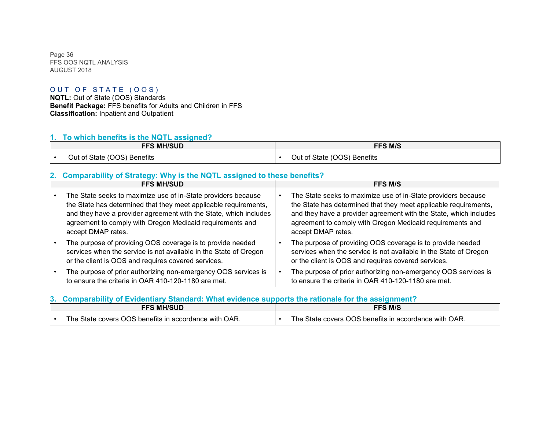Page 36 FFS OOS NQTL ANALYSIS AUGUST 2018

#### OUT OF STATE (OOS)

**NQTL:** Out of State (OOS) Standards **Benefit Package:** FFS benefits for Adults and Children in FFS **Classification:** Inpatient and Outpatient

# **1. To which benefits is the NQTL assigned?**

| <b>FFS MH/SUD</b>           | <b>FFS M/S</b>              |
|-----------------------------|-----------------------------|
| Out of State (OOS) Benefits | Out of State (OOS) Benefits |

# **2. Comparability of Strategy: Why is the NQTL assigned to these benefits?**

| <b>FFS MH/SUD</b>                                                                                                                                                                                                                                                                         | <b>FFS M/S</b>                                                                                                                                                                                                                                                                            |
|-------------------------------------------------------------------------------------------------------------------------------------------------------------------------------------------------------------------------------------------------------------------------------------------|-------------------------------------------------------------------------------------------------------------------------------------------------------------------------------------------------------------------------------------------------------------------------------------------|
| The State seeks to maximize use of in-State providers because<br>the State has determined that they meet applicable requirements,<br>and they have a provider agreement with the State, which includes<br>agreement to comply with Oregon Medicaid requirements and<br>accept DMAP rates. | The State seeks to maximize use of in-State providers because<br>the State has determined that they meet applicable requirements,<br>and they have a provider agreement with the State, which includes<br>agreement to comply with Oregon Medicaid requirements and<br>accept DMAP rates. |
| The purpose of providing OOS coverage is to provide needed<br>services when the service is not available in the State of Oregon<br>or the client is OOS and requires covered services.                                                                                                    | The purpose of providing OOS coverage is to provide needed<br>services when the service is not available in the State of Oregon<br>or the client is OOS and requires covered services.                                                                                                    |
| The purpose of prior authorizing non-emergency OOS services is<br>to ensure the criteria in OAR 410-120-1180 are met.                                                                                                                                                                     | The purpose of prior authorizing non-emergency OOS services is<br>to ensure the criteria in OAR 410-120-1180 are met.                                                                                                                                                                     |

#### **3. Comparability of Evidentiary Standard: What evidence supports the rationale for the assignment?**

| FFS MH/SUD                                                                                            | <b>FFS M/S</b>                                                           |
|-------------------------------------------------------------------------------------------------------|--------------------------------------------------------------------------|
| $\cdot$ with OAR.<br>- State covers ∪<br>$^{\sf \tiny \sf The}$ .<br>JOS<br>; benefits in accordance. | The $\cdot$<br>OAR.<br>OOS benefits in accordance with (<br>State covers |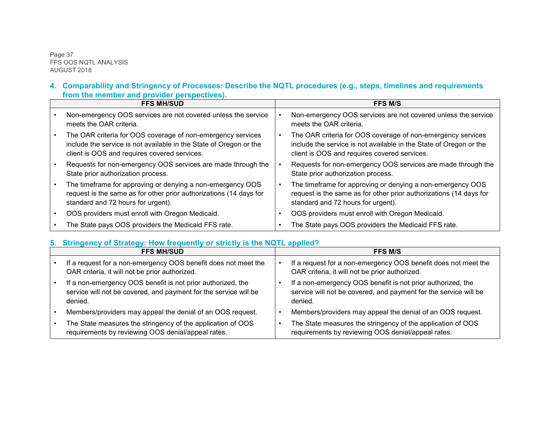Page 37 FFS OOS NQTL ANALYSIS AUGUST 2018

#### **4. Comparability and Stringency of Processes: Describe the NQTL procedures (e.g., steps, timelines and requirements from the member and provider perspectives).**

| <b>FFS MH/SUD</b> |                                                                                                                                                                                   | <b>FFS M/S</b>                                                                                                                                                                    |  |
|-------------------|-----------------------------------------------------------------------------------------------------------------------------------------------------------------------------------|-----------------------------------------------------------------------------------------------------------------------------------------------------------------------------------|--|
|                   | Non-emergency OOS services are not covered unless the service<br>meets the OAR criteria.                                                                                          | Non-emergency OOS services are not covered unless the service<br>meets the OAR criteria.                                                                                          |  |
|                   | The OAR criteria for OOS coverage of non-emergency services<br>include the service is not available in the State of Oregon or the<br>client is OOS and requires covered services. | The OAR criteria for OOS coverage of non-emergency services<br>include the service is not available in the State of Oregon or the<br>client is OOS and requires covered services. |  |
|                   | Requests for non-emergency OOS services are made through the<br>State prior authorization process.                                                                                | Requests for non-emergency OOS services are made through the<br>State prior authorization process.                                                                                |  |
|                   | The timeframe for approving or denying a non-emergency OOS<br>request is the same as for other prior authorizations (14 days for<br>standard and 72 hours for urgent).            | The timeframe for approving or denying a non-emergency OOS<br>request is the same as for other prior authorizations (14 days for<br>standard and 72 hours for urgent).            |  |
|                   | OOS providers must enroll with Oregon Medicaid.                                                                                                                                   | OOS providers must enroll with Oregon Medicaid.                                                                                                                                   |  |
|                   | The State pays OOS providers the Medicaid FFS rate.                                                                                                                               | The State pays OOS providers the Medicaid FFS rate.                                                                                                                               |  |

# **5. Stringency of Strategy: How frequently or strictly is the NQTL applied?**

| <b>FFS MH/SUD</b> |                                                                                                                                            | <b>FFS M/S</b>                                                                                                                             |  |
|-------------------|--------------------------------------------------------------------------------------------------------------------------------------------|--------------------------------------------------------------------------------------------------------------------------------------------|--|
|                   | If a request for a non-emergency OOS benefit does not meet the<br>OAR criteria, it will not be prior authorized.                           | If a request for a non-emergency OOS benefit does not meet the<br>OAR criteria, it will not be prior authorized.                           |  |
|                   | If a non-emergency OOS benefit is not prior authorized, the<br>service will not be covered, and payment for the service will be<br>denied. | If a non-emergency OOS benefit is not prior authorized, the<br>service will not be covered, and payment for the service will be<br>denied. |  |
|                   | Members/providers may appeal the denial of an OOS request.                                                                                 | Members/providers may appeal the denial of an OOS request.                                                                                 |  |
|                   | The State measures the stringency of the application of OOS<br>requirements by reviewing OOS denial/appeal rates.                          | The State measures the stringency of the application of OOS<br>requirements by reviewing OOS denial/appeal rates.                          |  |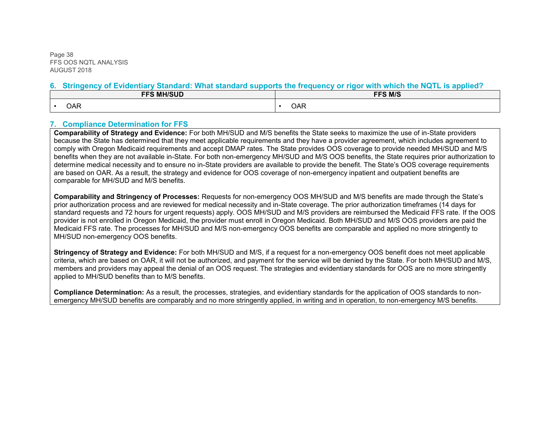Page 38 FFS OOS NQTL ANALYSIS AUGUST 2018

#### **6. Stringency of Evidentiary Standard: What standard supports the frequency or rigor with which the NQTL is applied?**

| <b>FFS MH/SUD</b> | FFS M/S |
|-------------------|---------|
| OAR               | OAR     |

#### **7. Compliance Determination for FFS**

**Comparability of Strategy and Evidence:** For both MH/SUD and M/S benefits the State seeks to maximize the use of in-State providers because the State has determined that they meet applicable requirements and they have a provider agreement, which includes agreement to comply with Oregon Medicaid requirements and accept DMAP rates. The State provides OOS coverage to provide needed MH/SUD and M/S benefits when they are not available in-State. For both non-emergency MH/SUD and M/S OOS benefits, the State requires prior authorization to determine medical necessity and to ensure no in-State providers are available to provide the benefit. The State's OOS coverage requirements are based on OAR. As a result, the strategy and evidence for OOS coverage of non-emergency inpatient and outpatient benefits are comparable for MH/SUD and M/S benefits.

**Comparability and Stringency of Processes:** Requests for non-emergency OOS MH/SUD and M/S benefits are made through the State's prior authorization process and are reviewed for medical necessity and in-State coverage. The prior authorization timeframes (14 days for standard requests and 72 hours for urgent requests) apply. OOS MH/SUD and M/S providers are reimbursed the Medicaid FFS rate. If the OOS provider is not enrolled in Oregon Medicaid, the provider must enroll in Oregon Medicaid. Both MH/SUD and M/S OOS providers are paid the Medicaid FFS rate. The processes for MH/SUD and M/S non-emergency OOS benefits are comparable and applied no more stringently to MH/SUD non-emergency OOS benefits.

**Stringency of Strategy and Evidence:** For both MH/SUD and M/S, if a request for a non-emergency OOS benefit does not meet applicable criteria, which are based on OAR, it will not be authorized, and payment for the service will be denied by the State. For both MH/SUD and M/S, members and providers may appeal the denial of an OOS request. The strategies and evidentiary standards for OOS are no more stringently applied to MH/SUD benefits than to M/S benefits.

**Compliance Determination:** As a result, the processes, strategies, and evidentiary standards for the application of OOS standards to nonemergency MH/SUD benefits are comparably and no more stringently applied, in writing and in operation, to non-emergency M/S benefits.